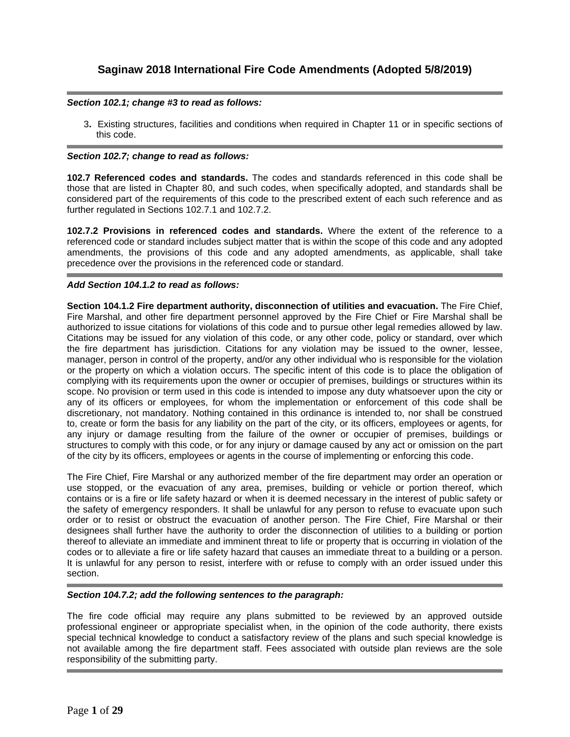# *Section 102.1; change #3 to read as follows:*

3**.** Existing structures, facilities and conditions when required in Chapter 11 or in specific sections of this code.

# *Section 102.7; change to read as follows:*

**102.7 Referenced codes and standards.** The codes and standards referenced in this code shall be those that are listed in Chapter 80, and such codes, when specifically adopted, and standards shall be considered part of the requirements of this code to the prescribed extent of each such reference and as further regulated in Sections 102.7.1 and 102.7.2.

**102.7.2 Provisions in referenced codes and standards.** Where the extent of the reference to a referenced code or standard includes subject matter that is within the scope of this code and any adopted amendments, the provisions of this code and any adopted amendments, as applicable, shall take precedence over the provisions in the referenced code or standard.

# *Add Section 104.1.2 to read as follows:*

**Section 104.1.2 Fire department authority, disconnection of utilities and evacuation.** The Fire Chief, Fire Marshal, and other fire department personnel approved by the Fire Chief or Fire Marshal shall be authorized to issue citations for violations of this code and to pursue other legal remedies allowed by law. Citations may be issued for any violation of this code, or any other code, policy or standard, over which the fire department has jurisdiction. Citations for any violation may be issued to the owner, lessee, manager, person in control of the property, and/or any other individual who is responsible for the violation or the property on which a violation occurs. The specific intent of this code is to place the obligation of complying with its requirements upon the owner or occupier of premises, buildings or structures within its scope. No provision or term used in this code is intended to impose any duty whatsoever upon the city or any of its officers or employees, for whom the implementation or enforcement of this code shall be discretionary, not mandatory. Nothing contained in this ordinance is intended to, nor shall be construed to, create or form the basis for any liability on the part of the city, or its officers, employees or agents, for any injury or damage resulting from the failure of the owner or occupier of premises, buildings or structures to comply with this code, or for any injury or damage caused by any act or omission on the part of the city by its officers, employees or agents in the course of implementing or enforcing this code.

The Fire Chief, Fire Marshal or any authorized member of the fire department may order an operation or use stopped, or the evacuation of any area, premises, building or vehicle or portion thereof, which contains or is a fire or life safety hazard or when it is deemed necessary in the interest of public safety or the safety of emergency responders. It shall be unlawful for any person to refuse to evacuate upon such order or to resist or obstruct the evacuation of another person. The Fire Chief, Fire Marshal or their designees shall further have the authority to order the disconnection of utilities to a building or portion thereof to alleviate an immediate and imminent threat to life or property that is occurring in violation of the codes or to alleviate a fire or life safety hazard that causes an immediate threat to a building or a person. It is unlawful for any person to resist, interfere with or refuse to comply with an order issued under this section.

## *Section 104.7.2; add the following sentences to the paragraph:*

The fire code official may require any plans submitted to be reviewed by an approved outside professional engineer or appropriate specialist when, in the opinion of the code authority, there exists special technical knowledge to conduct a satisfactory review of the plans and such special knowledge is not available among the fire department staff. Fees associated with outside plan reviews are the sole responsibility of the submitting party.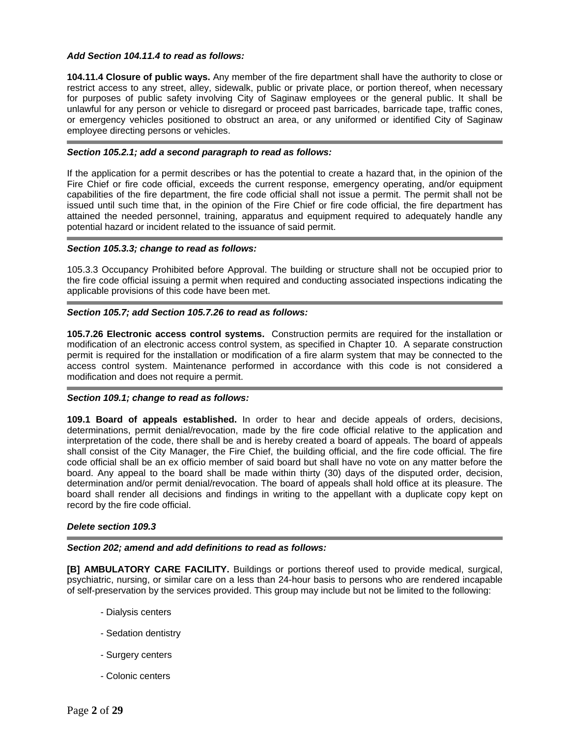## *Add Section 104.11.4 to read as follows:*

**104.11.4 Closure of public ways.** Any member of the fire department shall have the authority to close or restrict access to any street, alley, sidewalk, public or private place, or portion thereof, when necessary for purposes of public safety involving City of Saginaw employees or the general public. It shall be unlawful for any person or vehicle to disregard or proceed past barricades, barricade tape, traffic cones, or emergency vehicles positioned to obstruct an area, or any uniformed or identified City of Saginaw employee directing persons or vehicles.

#### *Section 105.2.1; add a second paragraph to read as follows:*

If the application for a permit describes or has the potential to create a hazard that, in the opinion of the Fire Chief or fire code official, exceeds the current response, emergency operating, and/or equipment capabilities of the fire department, the fire code official shall not issue a permit. The permit shall not be issued until such time that, in the opinion of the Fire Chief or fire code official, the fire department has attained the needed personnel, training, apparatus and equipment required to adequately handle any potential hazard or incident related to the issuance of said permit.

#### *Section 105.3.3; change to read as follows:*

105.3.3 Occupancy Prohibited before Approval. The building or structure shall not be occupied prior to the fire code official issuing a permit when required and conducting associated inspections indicating the applicable provisions of this code have been met.

## *Section 105.7; add Section 105.7.26 to read as follows:*

**105.7.26 Electronic access control systems.** Construction permits are required for the installation or modification of an electronic access control system, as specified in Chapter 10. A separate construction permit is required for the installation or modification of a fire alarm system that may be connected to the access control system. Maintenance performed in accordance with this code is not considered a modification and does not require a permit.

## *Section 109.1; change to read as follows:*

**109.1 Board of appeals established.** In order to hear and decide appeals of orders, decisions, determinations, permit denial/revocation, made by the fire code official relative to the application and interpretation of the code, there shall be and is hereby created a board of appeals. The board of appeals shall consist of the City Manager, the Fire Chief, the building official, and the fire code official. The fire code official shall be an ex officio member of said board but shall have no vote on any matter before the board. Any appeal to the board shall be made within thirty (30) days of the disputed order, decision, determination and/or permit denial/revocation. The board of appeals shall hold office at its pleasure. The board shall render all decisions and findings in writing to the appellant with a duplicate copy kept on record by the fire code official.

#### *Delete section 109.3*

## *Section 202; amend and add definitions to read as follows:*

**[B] AMBULATORY CARE FACILITY.** Buildings or portions thereof used to provide medical, surgical, psychiatric, nursing, or similar care on a less than 24-hour basis to persons who are rendered incapable of self-preservation by the services provided. This group may include but not be limited to the following:

- Dialysis centers
- Sedation dentistry
- Surgery centers
- Colonic centers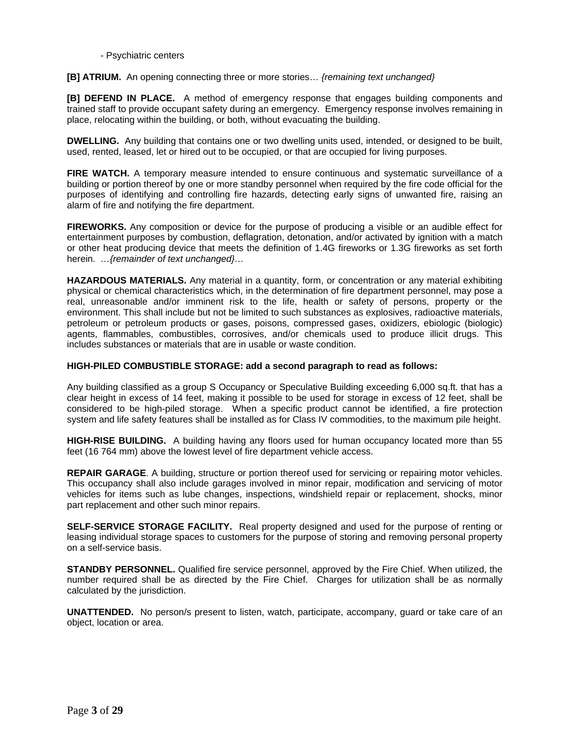## - Psychiatric centers

# **[B] ATRIUM.** An opening connecting three or more stories… *{remaining text unchanged}*

**[B] DEFEND IN PLACE.** A method of emergency response that engages building components and trained staff to provide occupant safety during an emergency. Emergency response involves remaining in place, relocating within the building, or both, without evacuating the building.

**DWELLING.** Any building that contains one or two dwelling units used, intended, or designed to be built, used, rented, leased, let or hired out to be occupied, or that are occupied for living purposes.

**FIRE WATCH.** A temporary measure intended to ensure continuous and systematic surveillance of a building or portion thereof by one or more standby personnel when required by the fire code official for the purposes of identifying and controlling fire hazards, detecting early signs of unwanted fire, raising an alarm of fire and notifying the fire department.

**FIREWORKS.** Any composition or device for the purpose of producing a visible or an audible effect for entertainment purposes by combustion, deflagration, detonation, and/or activated by ignition with a match or other heat producing device that meets the definition of 1.4G fireworks or 1.3G fireworks as set forth herein. *…{remainder of text unchanged}…* 

**HAZARDOUS MATERIALS.** Any material in a quantity, form, or concentration or any material exhibiting physical or chemical characteristics which, in the determination of fire department personnel, may pose a real, unreasonable and/or imminent risk to the life, health or safety of persons, property or the environment. This shall include but not be limited to such substances as explosives, radioactive materials, petroleum or petroleum products or gases, poisons, compressed gases, oxidizers, ebiologic (biologic) agents, flammables, combustibles, corrosives, and/or chemicals used to produce illicit drugs. This includes substances or materials that are in usable or waste condition.

# **HIGH-PILED COMBUSTIBLE STORAGE: add a second paragraph to read as follows:**

Any building classified as a group S Occupancy or Speculative Building exceeding 6,000 sq.ft. that has a clear height in excess of 14 feet, making it possible to be used for storage in excess of 12 feet, shall be considered to be high-piled storage. When a specific product cannot be identified, a fire protection system and life safety features shall be installed as for Class IV commodities, to the maximum pile height.

**HIGH-RISE BUILDING.** A building having any floors used for human occupancy located more than 55 feet (16 764 mm) above the lowest level of fire department vehicle access.

**REPAIR GARAGE**. A building, structure or portion thereof used for servicing or repairing motor vehicles. This occupancy shall also include garages involved in minor repair, modification and servicing of motor vehicles for items such as lube changes, inspections, windshield repair or replacement, shocks, minor part replacement and other such minor repairs.

**SELF-SERVICE STORAGE FACILITY.** Real property designed and used for the purpose of renting or leasing individual storage spaces to customers for the purpose of storing and removing personal property on a self-service basis.

**STANDBY PERSONNEL.** Qualified fire service personnel, approved by the Fire Chief. When utilized, the number required shall be as directed by the Fire Chief. Charges for utilization shall be as normally calculated by the jurisdiction.

**UNATTENDED.** No person/s present to listen, watch, participate, accompany, guard or take care of an object, location or area.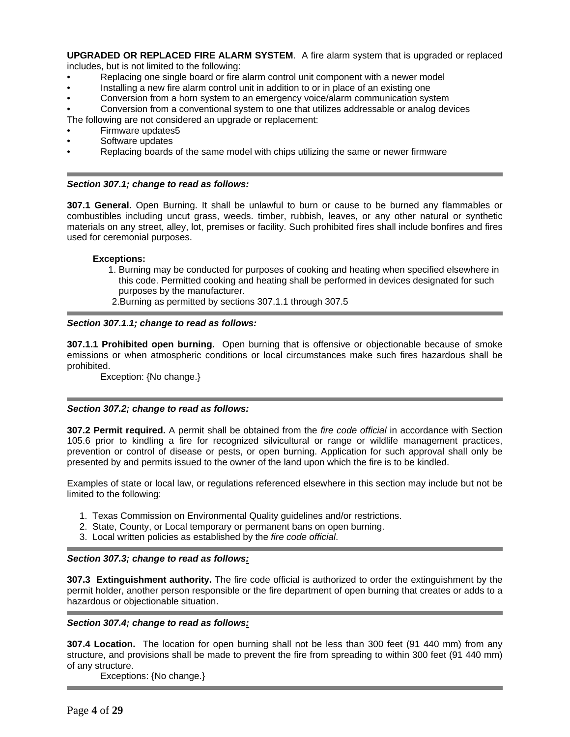**UPGRADED OR REPLACED FIRE ALARM SYSTEM**. A fire alarm system that is upgraded or replaced includes, but is not limited to the following:

- Replacing one single board or fire alarm control unit component with a newer model
- Installing a new fire alarm control unit in addition to or in place of an existing one
- Conversion from a horn system to an emergency voice/alarm communication system
- Conversion from a conventional system to one that utilizes addressable or analog devices
- The following are not considered an upgrade or replacement:
- Firmware updates5
- Software updates
- Replacing boards of the same model with chips utilizing the same or newer firmware

#### *Section 307.1; change to read as follows:*

**307.1 General.** Open Burning. It shall be unlawful to burn or cause to be burned any flammables or combustibles including uncut grass, weeds. timber, rubbish, leaves, or any other natural or synthetic materials on any street, alley, lot, premises or facility. Such prohibited fires shall include bonfires and fires used for ceremonial purposes.

## **Exceptions:**

- 1. Burning may be conducted for purposes of cooking and heating when specified elsewhere in this code. Permitted cooking and heating shall be performed in devices designated for such purposes by the manufacturer.
- 2.Burning as permitted by sections 307.1.1 through 307.5

#### *Section 307.1.1; change to read as follows:*

**307.1.1 Prohibited open burning.** Open burning that is offensive or objectionable because of smoke emissions or when atmospheric conditions or local circumstances make such fires hazardous shall be prohibited.

Exception: {No change.}

## *Section 307.2; change to read as follows:*

**307.2 Permit required.** A permit shall be obtained from the *fire code official* in accordance with Section 105.6 prior to kindling a fire for recognized silvicultural or range or wildlife management practices, prevention or control of disease or pests, or open burning. Application for such approval shall only be presented by and permits issued to the owner of the land upon which the fire is to be kindled.

Examples of state or local law, or regulations referenced elsewhere in this section may include but not be limited to the following:

- 1. Texas Commission on Environmental Quality guidelines and/or restrictions.
- 2. State, County, or Local temporary or permanent bans on open burning.
- 3. Local written policies as established by the *fire code official*.

## *Section 307.3; change to read as follows:*

**307.3 Extinguishment authority.** The fire code official is authorized to order the extinguishment by the permit holder, another person responsible or the fire department of open burning that creates or adds to a hazardous or objectionable situation.

## *Section 307.4; change to read as follows:*

**307.4 Location.** The location for open burning shall not be less than 300 feet (91 440 mm) from any structure, and provisions shall be made to prevent the fire from spreading to within 300 feet (91 440 mm) of any structure.

Exceptions: {No change.}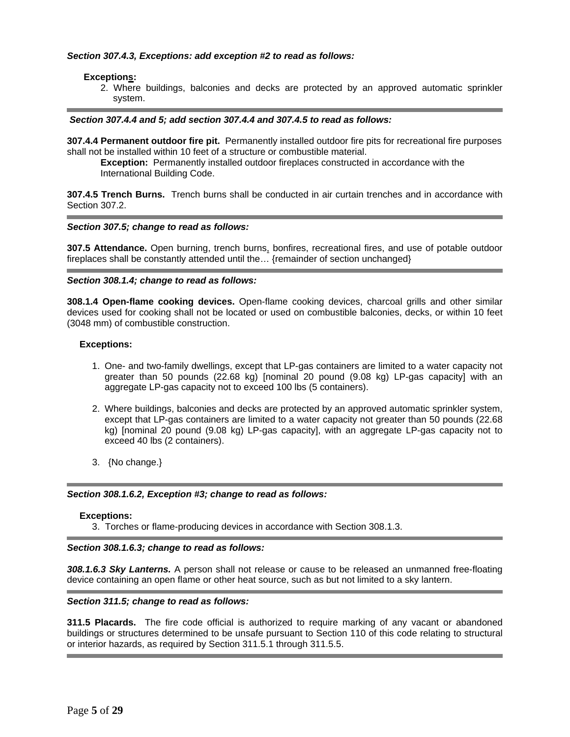# *Section 307.4.3, Exceptions: add exception #2 to read as follows:*

# **Exceptions:**

2. Where buildings, balconies and decks are protected by an approved automatic sprinkler system.

#### *Section 307.4.4 and 5; add section 307.4.4 and 307.4.5 to read as follows:*

**307.4.4 Permanent outdoor fire pit.** Permanently installed outdoor fire pits for recreational fire purposes shall not be installed within 10 feet of a structure or combustible material.

**Exception:** Permanently installed outdoor fireplaces constructed in accordance with the International Building Code.

**307.4.5 Trench Burns.** Trench burns shall be conducted in air curtain trenches and in accordance with Section 307.2.

#### *Section 307.5; change to read as follows:*

**307.5 Attendance.** Open burning, trench burns, bonfires, recreational fires, and use of potable outdoor fireplaces shall be constantly attended until the… {remainder of section unchanged}

#### *Section 308.1.4; change to read as follows:*

**308.1.4 Open-flame cooking devices.** Open-flame cooking devices, charcoal grills and other similar devices used for cooking shall not be located or used on combustible balconies, decks, or within 10 feet (3048 mm) of combustible construction.

#### **Exceptions:**

- 1. One- and two-family dwellings, except that LP-gas containers are limited to a water capacity not greater than 50 pounds (22.68 kg) [nominal 20 pound (9.08 kg) LP-gas capacity] with an aggregate LP-gas capacity not to exceed 100 lbs (5 containers).
- 2. Where buildings, balconies and decks are protected by an approved automatic sprinkler system, except that LP-gas containers are limited to a water capacity not greater than 50 pounds (22.68 kg) [nominal 20 pound (9.08 kg) LP-gas capacity], with an aggregate LP-gas capacity not to exceed 40 lbs (2 containers).
- 3. {No change.}

## *Section 308.1.6.2, Exception #3; change to read as follows:*

#### **Exceptions:**

3. Torches or flame-producing devices in accordance with Section 308.1.3.

## *Section 308.1.6.3; change to read as follows:*

*308.1.6.3 Sky Lanterns.* A person shall not release or cause to be released an unmanned free-floating device containing an open flame or other heat source, such as but not limited to a sky lantern.

## *Section 311.5; change to read as follows:*

**311.5 Placards.** The fire code official is authorized to require marking of any vacant or abandoned buildings or structures determined to be unsafe pursuant to Section 110 of this code relating to structural or interior hazards, as required by Section 311.5.1 through 311.5.5.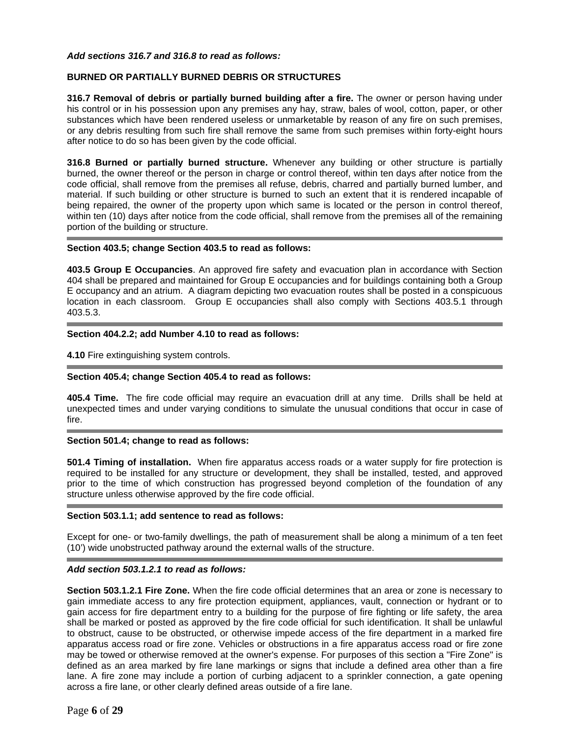#### *Add sections 316.7 and 316.8 to read as follows:*

# **BURNED OR PARTIALLY BURNED DEBRIS OR STRUCTURES**

**316.7 Removal of debris or partially burned building after a fire.** The owner or person having under his control or in his possession upon any premises any hay, straw, bales of wool, cotton, paper, or other substances which have been rendered useless or unmarketable by reason of any fire on such premises, or any debris resulting from such fire shall remove the same from such premises within forty-eight hours after notice to do so has been given by the code official.

**316.8 Burned or partially burned structure.** Whenever any building or other structure is partially burned, the owner thereof or the person in charge or control thereof, within ten days after notice from the code official, shall remove from the premises all refuse, debris, charred and partially burned lumber, and material. If such building or other structure is burned to such an extent that it is rendered incapable of being repaired, the owner of the property upon which same is located or the person in control thereof, within ten (10) days after notice from the code official, shall remove from the premises all of the remaining portion of the building or structure.

#### **Section 403.5; change Section 403.5 to read as follows:**

**403.5 Group E Occupancies**. An approved fire safety and evacuation plan in accordance with Section 404 shall be prepared and maintained for Group E occupancies and for buildings containing both a Group E occupancy and an atrium. A diagram depicting two evacuation routes shall be posted in a conspicuous location in each classroom. Group E occupancies shall also comply with Sections 403.5.1 through 403.5.3.

#### **Section 404.2.2; add Number 4.10 to read as follows:**

**4.10** Fire extinguishing system controls.

## **Section 405.4; change Section 405.4 to read as follows:**

**405.4 Time.** The fire code official may require an evacuation drill at any time. Drills shall be held at unexpected times and under varying conditions to simulate the unusual conditions that occur in case of fire.

## **Section 501.4; change to read as follows:**

**501.4 Timing of installation.** When fire apparatus access roads or a water supply for fire protection is required to be installed for any structure or development, they shall be installed, tested, and approved prior to the time of which construction has progressed beyond completion of the foundation of any structure unless otherwise approved by the fire code official.

#### **Section 503.1.1; add sentence to read as follows:**

Except for one- or two-family dwellings, the path of measurement shall be along a minimum of a ten feet (10') wide unobstructed pathway around the external walls of the structure.

# *Add section 503.1.2.1 to read as follows:*

**Section 503.1.2.1 Fire Zone.** When the fire code official determines that an area or zone is necessary to gain immediate access to any fire protection equipment, appliances, vault, connection or hydrant or to gain access for fire department entry to a building for the purpose of fire fighting or life safety, the area shall be marked or posted as approved by the fire code official for such identification. It shall be unlawful to obstruct, cause to be obstructed, or otherwise impede access of the fire department in a marked fire apparatus access road or fire zone. Vehicles or obstructions in a fire apparatus access road or fire zone may be towed or otherwise removed at the owner's expense. For purposes of this section a "Fire Zone" is defined as an area marked by fire lane markings or signs that include a defined area other than a fire lane. A fire zone may include a portion of curbing adjacent to a sprinkler connection, a gate opening across a fire lane, or other clearly defined areas outside of a fire lane.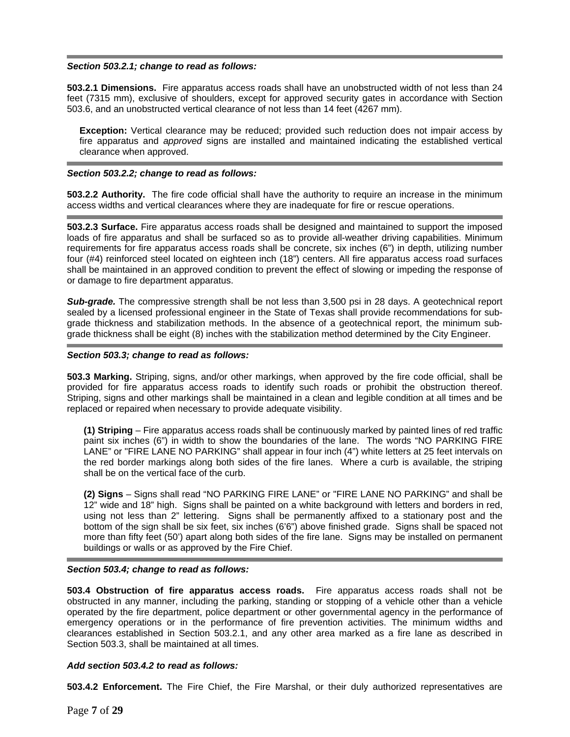## *Section 503.2.1; change to read as follows:*

**503.2.1 Dimensions.** Fire apparatus access roads shall have an unobstructed width of not less than 24 feet (7315 mm), exclusive of shoulders, except for approved security gates in accordance with Section 503.6, and an unobstructed vertical clearance of not less than 14 feet (4267 mm).

**Exception:** Vertical clearance may be reduced; provided such reduction does not impair access by fire apparatus and *approved* signs are installed and maintained indicating the established vertical clearance when approved.

#### *Section 503.2.2; change to read as follows:*

**503.2.2 Authority.** The fire code official shall have the authority to require an increase in the minimum access widths and vertical clearances where they are inadequate for fire or rescue operations.

**503.2.3 Surface.** Fire apparatus access roads shall be designed and maintained to support the imposed loads of fire apparatus and shall be surfaced so as to provide all-weather driving capabilities. Minimum requirements for fire apparatus access roads shall be concrete, six inches (6") in depth, utilizing number four (#4) reinforced steel located on eighteen inch (18") centers. All fire apparatus access road surfaces shall be maintained in an approved condition to prevent the effect of slowing or impeding the response of or damage to fire department apparatus.

**Sub-grade.** The compressive strength shall be not less than 3,500 psi in 28 days. A geotechnical report sealed by a licensed professional engineer in the State of Texas shall provide recommendations for subgrade thickness and stabilization methods. In the absence of a geotechnical report, the minimum subgrade thickness shall be eight (8) inches with the stabilization method determined by the City Engineer.

## *Section 503.3; change to read as follows:*

**503.3 Marking.** Striping, signs, and/or other markings, when approved by the fire code official, shall be provided for fire apparatus access roads to identify such roads or prohibit the obstruction thereof. Striping, signs and other markings shall be maintained in a clean and legible condition at all times and be replaced or repaired when necessary to provide adequate visibility.

**(1) Striping** – Fire apparatus access roads shall be continuously marked by painted lines of red traffic paint six inches (6") in width to show the boundaries of the lane. The words "NO PARKING FIRE LANE" or "FIRE LANE NO PARKING" shall appear in four inch (4") white letters at 25 feet intervals on the red border markings along both sides of the fire lanes. Where a curb is available, the striping shall be on the vertical face of the curb.

**(2) Signs** – Signs shall read "NO PARKING FIRE LANE" or "FIRE LANE NO PARKING" and shall be 12" wide and 18" high. Signs shall be painted on a white background with letters and borders in red, using not less than 2" lettering. Signs shall be permanently affixed to a stationary post and the bottom of the sign shall be six feet, six inches (6'6") above finished grade. Signs shall be spaced not more than fifty feet (50') apart along both sides of the fire lane. Signs may be installed on permanent buildings or walls or as approved by the Fire Chief.

## *Section 503.4; change to read as follows:*

**503.4 Obstruction of fire apparatus access roads.** Fire apparatus access roads shall not be obstructed in any manner, including the parking, standing or stopping of a vehicle other than a vehicle operated by the fire department, police department or other governmental agency in the performance of emergency operations or in the performance of fire prevention activities. The minimum widths and clearances established in Section 503.2.1, and any other area marked as a fire lane as described in Section 503.3, shall be maintained at all times.

# *Add section 503.4.2 to read as follows:*

**503.4.2 Enforcement.** The Fire Chief, the Fire Marshal, or their duly authorized representatives are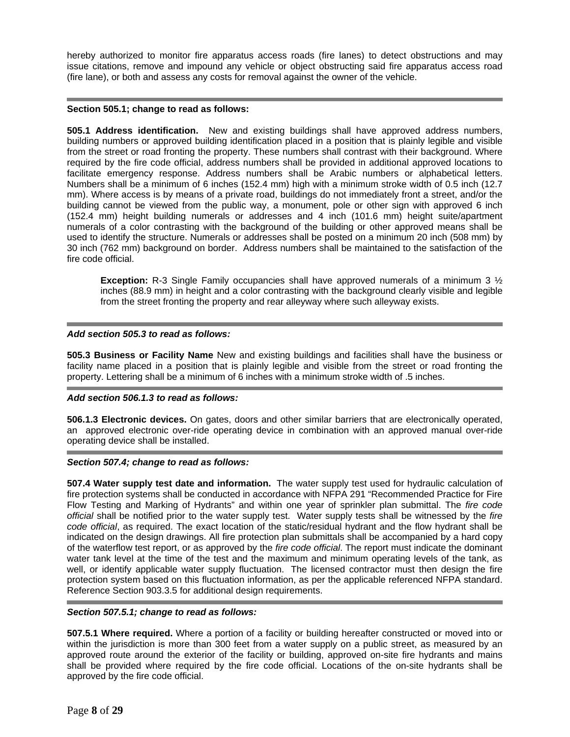hereby authorized to monitor fire apparatus access roads (fire lanes) to detect obstructions and may issue citations, remove and impound any vehicle or object obstructing said fire apparatus access road (fire lane), or both and assess any costs for removal against the owner of the vehicle.

# **Section 505.1; change to read as follows:**

**505.1 Address identification.** New and existing buildings shall have approved address numbers, building numbers or approved building identification placed in a position that is plainly legible and visible from the street or road fronting the property. These numbers shall contrast with their background. Where required by the fire code official, address numbers shall be provided in additional approved locations to facilitate emergency response. Address numbers shall be Arabic numbers or alphabetical letters. Numbers shall be a minimum of 6 inches (152.4 mm) high with a minimum stroke width of 0.5 inch (12.7 mm). Where access is by means of a private road, buildings do not immediately front a street, and/or the building cannot be viewed from the public way, a monument, pole or other sign with approved 6 inch (152.4 mm) height building numerals or addresses and 4 inch (101.6 mm) height suite/apartment numerals of a color contrasting with the background of the building or other approved means shall be used to identify the structure. Numerals or addresses shall be posted on a minimum 20 inch (508 mm) by 30 inch (762 mm) background on border. Address numbers shall be maintained to the satisfaction of the fire code official.

**Exception:** R-3 Single Family occupancies shall have approved numerals of a minimum 3 ½ inches (88.9 mm) in height and a color contrasting with the background clearly visible and legible from the street fronting the property and rear alleyway where such alleyway exists.

# *Add section 505.3 to read as follows:*

**505.3 Business or Facility Name** New and existing buildings and facilities shall have the business or facility name placed in a position that is plainly legible and visible from the street or road fronting the property. Lettering shall be a minimum of 6 inches with a minimum stroke width of .5 inches.

## *Add section 506.1.3 to read as follows:*

**506.1.3 Electronic devices.** On gates, doors and other similar barriers that are electronically operated, an approved electronic over-ride operating device in combination with an approved manual over-ride operating device shall be installed.

## *Section 507.4; change to read as follows:*

**507.4 Water supply test date and information.** The water supply test used for hydraulic calculation of fire protection systems shall be conducted in accordance with NFPA 291 "Recommended Practice for Fire Flow Testing and Marking of Hydrants" and within one year of sprinkler plan submittal. The *fire code official* shall be notified prior to the water supply test. Water supply tests shall be witnessed by the *fire code official*, as required. The exact location of the static/residual hydrant and the flow hydrant shall be indicated on the design drawings. All fire protection plan submittals shall be accompanied by a hard copy of the waterflow test report, or as approved by the *fire code official*. The report must indicate the dominant water tank level at the time of the test and the maximum and minimum operating levels of the tank, as well, or identify applicable water supply fluctuation. The licensed contractor must then design the fire protection system based on this fluctuation information, as per the applicable referenced NFPA standard. Reference Section 903.3.5 for additional design requirements.

# *Section 507.5.1; change to read as follows:*

**507.5.1 Where required.** Where a portion of a facility or building hereafter constructed or moved into or within the jurisdiction is more than 300 feet from a water supply on a public street, as measured by an approved route around the exterior of the facility or building, approved on-site fire hydrants and mains shall be provided where required by the fire code official. Locations of the on-site hydrants shall be approved by the fire code official.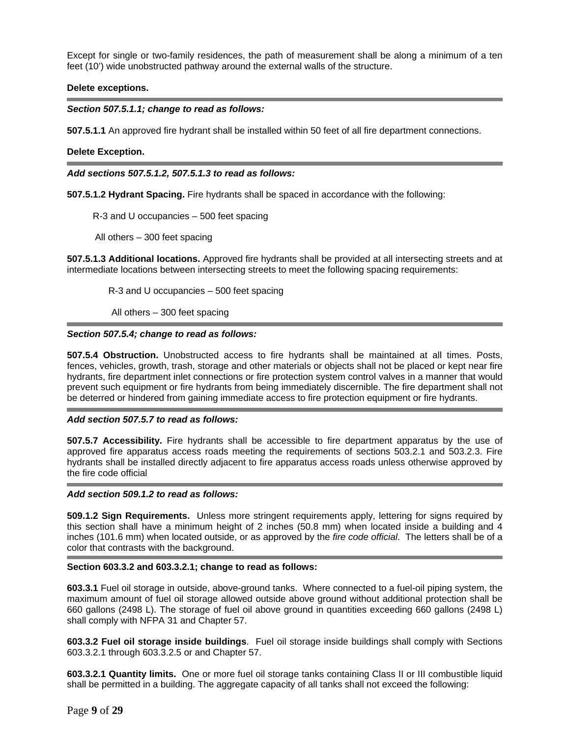Except for single or two-family residences, the path of measurement shall be along a minimum of a ten feet (10') wide unobstructed pathway around the external walls of the structure.

## **Delete exceptions.**

# *Section 507.5.1.1; change to read as follows:*

**507.5.1.1** An approved fire hydrant shall be installed within 50 feet of all fire department connections.

## **Delete Exception.**

*Add sections 507.5.1.2, 507.5.1.3 to read as follows:* 

**507.5.1.2 Hydrant Spacing.** Fire hydrants shall be spaced in accordance with the following:

R-3 and U occupancies – 500 feet spacing

All others – 300 feet spacing

**507.5.1.3 Additional locations.** Approved fire hydrants shall be provided at all intersecting streets and at intermediate locations between intersecting streets to meet the following spacing requirements:

R-3 and U occupancies – 500 feet spacing

All others - 300 feet spacing

#### *Section 507.5.4; change to read as follows:*

**507.5.4 Obstruction.** Unobstructed access to fire hydrants shall be maintained at all times. Posts, fences, vehicles, growth, trash, storage and other materials or objects shall not be placed or kept near fire hydrants, fire department inlet connections or fire protection system control valves in a manner that would prevent such equipment or fire hydrants from being immediately discernible. The fire department shall not be deterred or hindered from gaining immediate access to fire protection equipment or fire hydrants.

## *Add section 507.5.7 to read as follows:*

**507.5.7 Accessibility.** Fire hydrants shall be accessible to fire department apparatus by the use of approved fire apparatus access roads meeting the requirements of sections 503.2.1 and 503.2.3. Fire hydrants shall be installed directly adjacent to fire apparatus access roads unless otherwise approved by the fire code official

## *Add section 509.1.2 to read as follows:*

**509.1.2 Sign Requirements.** Unless more stringent requirements apply, lettering for signs required by this section shall have a minimum height of 2 inches (50.8 mm) when located inside a building and 4 inches (101.6 mm) when located outside, or as approved by the *fire code official*. The letters shall be of a color that contrasts with the background.

## **Section 603.3.2 and 603.3.2.1; change to read as follows:**

**603.3.1** Fuel oil storage in outside, above-ground tanks. Where connected to a fuel-oil piping system, the maximum amount of fuel oil storage allowed outside above ground without additional protection shall be 660 gallons (2498 L). The storage of fuel oil above ground in quantities exceeding 660 gallons (2498 L) shall comply with NFPA 31 and Chapter 57.

**603.3.2 Fuel oil storage inside buildings**. Fuel oil storage inside buildings shall comply with Sections 603.3.2.1 through 603.3.2.5 or and Chapter 57.

**603.3.2.1 Quantity limits.** One or more fuel oil storage tanks containing Class II or III combustible liquid shall be permitted in a building. The aggregate capacity of all tanks shall not exceed the following: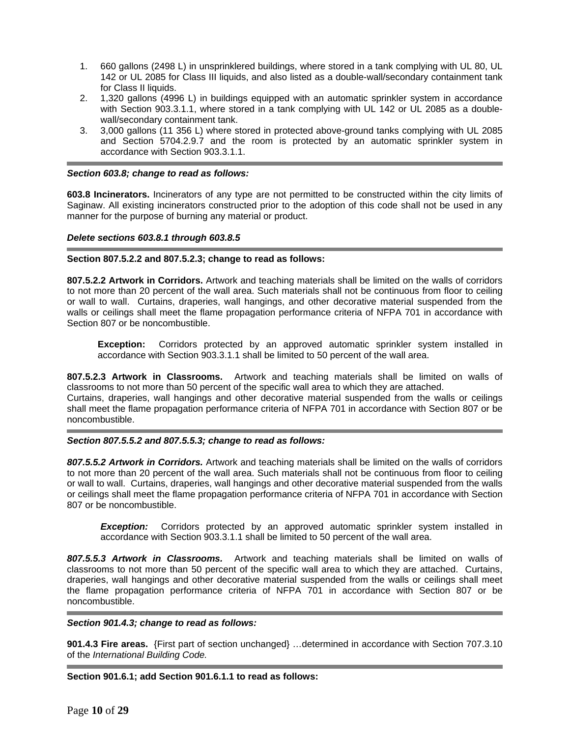- 1. 660 gallons (2498 L) in unsprinklered buildings, where stored in a tank complying with UL 80, UL 142 or UL 2085 for Class III liquids, and also listed as a double-wall/secondary containment tank for Class II liquids.
- 2. 1,320 gallons (4996 L) in buildings equipped with an automatic sprinkler system in accordance with Section 903.3.1.1, where stored in a tank complying with UL 142 or UL 2085 as a doublewall/secondary containment tank.
- 3. 3,000 gallons (11 356 L) where stored in protected above-ground tanks complying with UL 2085 and Section 5704.2.9.7 and the room is protected by an automatic sprinkler system in accordance with Section 903.3.1.1.

# *Section 603.8; change to read as follows:*

**603.8 Incinerators.** Incinerators of any type are not permitted to be constructed within the city limits of Saginaw. All existing incinerators constructed prior to the adoption of this code shall not be used in any manner for the purpose of burning any material or product.

# *Delete sections 603.8.1 through 603.8.5*

# **Section 807.5.2.2 and 807.5.2.3; change to read as follows:**

**807.5.2.2 Artwork in Corridors.** Artwork and teaching materials shall be limited on the walls of corridors to not more than 20 percent of the wall area. Such materials shall not be continuous from floor to ceiling or wall to wall. Curtains, draperies, wall hangings, and other decorative material suspended from the walls or ceilings shall meet the flame propagation performance criteria of NFPA 701 in accordance with Section 807 or be noncombustible.

**Exception:** Corridors protected by an approved automatic sprinkler system installed in accordance with Section 903.3.1.1 shall be limited to 50 percent of the wall area.

**807.5.2.3 Artwork in Classrooms.** Artwork and teaching materials shall be limited on walls of classrooms to not more than 50 percent of the specific wall area to which they are attached.

Curtains, draperies, wall hangings and other decorative material suspended from the walls or ceilings shall meet the flame propagation performance criteria of NFPA 701 in accordance with Section 807 or be noncombustible.

## *Section 807.5.5.2 and 807.5.5.3; change to read as follows:*

*807.5.5.2 Artwork in Corridors.* Artwork and teaching materials shall be limited on the walls of corridors to not more than 20 percent of the wall area. Such materials shall not be continuous from floor to ceiling or wall to wall. Curtains, draperies, wall hangings and other decorative material suspended from the walls or ceilings shall meet the flame propagation performance criteria of NFPA 701 in accordance with Section 807 or be noncombustible.

**Exception:** Corridors protected by an approved automatic sprinkler system installed in accordance with Section 903.3.1.1 shall be limited to 50 percent of the wall area.

*807.5.5.3 Artwork in Classrooms.* Artwork and teaching materials shall be limited on walls of classrooms to not more than 50 percent of the specific wall area to which they are attached. Curtains, draperies, wall hangings and other decorative material suspended from the walls or ceilings shall meet the flame propagation performance criteria of NFPA 701 in accordance with Section 807 or be noncombustible.

## *Section 901.4.3; change to read as follows:*

**901.4.3 Fire areas.** {First part of section unchanged} …determined in accordance with Section 707.3.10 of the *International Building Code.* 

**Section 901.6.1; add Section 901.6.1.1 to read as follows:**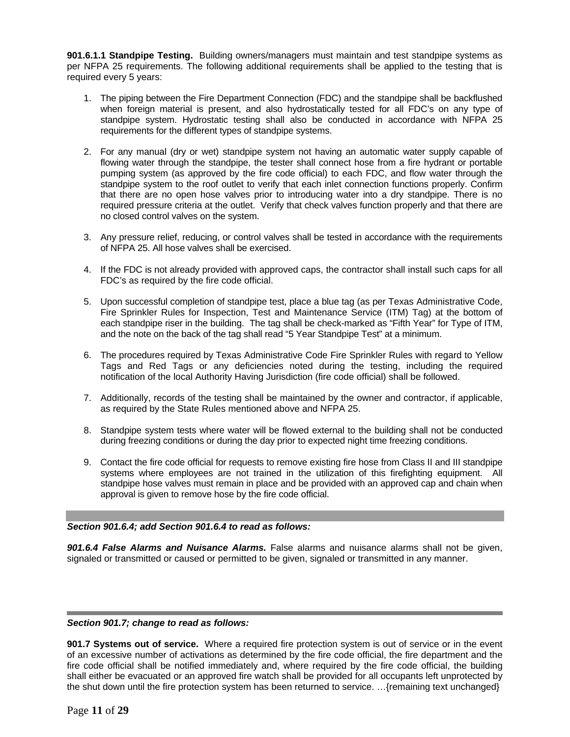**901.6.1.1 Standpipe Testing.** Building owners/managers must maintain and test standpipe systems as per NFPA 25 requirements. The following additional requirements shall be applied to the testing that is required every 5 years:

- 1. The piping between the Fire Department Connection (FDC) and the standpipe shall be backflushed when foreign material is present, and also hydrostatically tested for all FDC's on any type of standpipe system. Hydrostatic testing shall also be conducted in accordance with NFPA 25 requirements for the different types of standpipe systems.
- 2. For any manual (dry or wet) standpipe system not having an automatic water supply capable of flowing water through the standpipe, the tester shall connect hose from a fire hydrant or portable pumping system (as approved by the fire code official) to each FDC, and flow water through the standpipe system to the roof outlet to verify that each inlet connection functions properly. Confirm that there are no open hose valves prior to introducing water into a dry standpipe. There is no required pressure criteria at the outlet. Verify that check valves function properly and that there are no closed control valves on the system.
- 3. Any pressure relief, reducing, or control valves shall be tested in accordance with the requirements of NFPA 25. All hose valves shall be exercised.
- 4. If the FDC is not already provided with approved caps, the contractor shall install such caps for all FDC's as required by the fire code official.
- 5. Upon successful completion of standpipe test, place a blue tag (as per Texas Administrative Code, Fire Sprinkler Rules for Inspection, Test and Maintenance Service (ITM) Tag) at the bottom of each standpipe riser in the building. The tag shall be check-marked as "Fifth Year" for Type of ITM, and the note on the back of the tag shall read "5 Year Standpipe Test" at a minimum.
- 6. The procedures required by Texas Administrative Code Fire Sprinkler Rules with regard to Yellow Tags and Red Tags or any deficiencies noted during the testing, including the required notification of the local Authority Having Jurisdiction (fire code official) shall be followed.
- 7. Additionally, records of the testing shall be maintained by the owner and contractor, if applicable, as required by the State Rules mentioned above and NFPA 25.
- 8. Standpipe system tests where water will be flowed external to the building shall not be conducted during freezing conditions or during the day prior to expected night time freezing conditions.
- 9. Contact the fire code official for requests to remove existing fire hose from Class II and III standpipe systems where employees are not trained in the utilization of this firefighting equipment. All standpipe hose valves must remain in place and be provided with an approved cap and chain when approval is given to remove hose by the fire code official.

## *Section 901.6.4; add Section 901.6.4 to read as follows:*

*901.6.4 False Alarms and Nuisance Alarms.* False alarms and nuisance alarms shall not be given, signaled or transmitted or caused or permitted to be given, signaled or transmitted in any manner.

## *Section 901.7; change to read as follows:*

**901.7 Systems out of service.** Where a required fire protection system is out of service or in the event of an excessive number of activations as determined by the fire code official, the fire department and the fire code official shall be notified immediately and, where required by the fire code official, the building shall either be evacuated or an approved fire watch shall be provided for all occupants left unprotected by the shut down until the fire protection system has been returned to service. …{remaining text unchanged}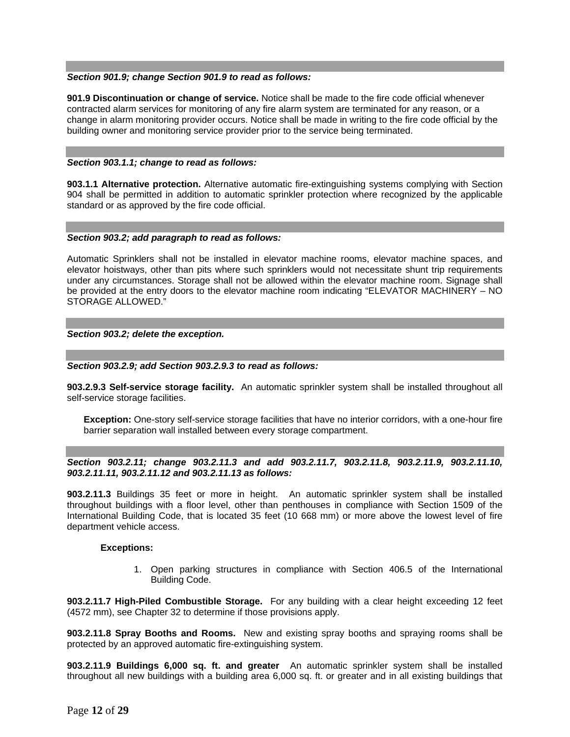## *Section 901.9; change Section 901.9 to read as follows:*

**901.9 Discontinuation or change of service.** Notice shall be made to the fire code official whenever contracted alarm services for monitoring of any fire alarm system are terminated for any reason, or a change in alarm monitoring provider occurs. Notice shall be made in writing to the fire code official by the building owner and monitoring service provider prior to the service being terminated.

#### *Section 903.1.1; change to read as follows:*

**903.1.1 Alternative protection.** Alternative automatic fire-extinguishing systems complying with Section 904 shall be permitted in addition to automatic sprinkler protection where recognized by the applicable standard or as approved by the fire code official.

#### *Section 903.2; add paragraph to read as follows:*

Automatic Sprinklers shall not be installed in elevator machine rooms, elevator machine spaces, and elevator hoistways, other than pits where such sprinklers would not necessitate shunt trip requirements under any circumstances. Storage shall not be allowed within the elevator machine room. Signage shall be provided at the entry doors to the elevator machine room indicating "ELEVATOR MACHINERY – NO STORAGE ALLOWED."

#### *Section 903.2; delete the exception.*

#### *Section 903.2.9; add Section 903.2.9.3 to read as follows:*

**903.2.9.3 Self-service storage facility.** An automatic sprinkler system shall be installed throughout all self-service storage facilities.

**Exception:** One-story self-service storage facilities that have no interior corridors, with a one-hour fire barrier separation wall installed between every storage compartment.

## *Section 903.2.11; change 903.2.11.3 and add 903.2.11.7, 903.2.11.8, 903.2.11.9, 903.2.11.10, 903.2.11.11, 903.2.11.12 and 903.2.11.13 as follows:*

**903.2.11.3** Buildings 35 feet or more in height. An automatic sprinkler system shall be installed throughout buildings with a floor level, other than penthouses in compliance with Section 1509 of the International Building Code, that is located 35 feet (10 668 mm) or more above the lowest level of fire department vehicle access.

#### **Exceptions:**

1. Open parking structures in compliance with Section 406.5 of the International Building Code.

**903.2.11.7 High-Piled Combustible Storage.** For any building with a clear height exceeding 12 feet (4572 mm), see Chapter 32 to determine if those provisions apply.

**903.2.11.8 Spray Booths and Rooms.** New and existing spray booths and spraying rooms shall be protected by an approved automatic fire-extinguishing system.

**903.2.11.9 Buildings 6,000 sq. ft. and greater** An automatic sprinkler system shall be installed throughout all new buildings with a building area 6,000 sq. ft. or greater and in all existing buildings that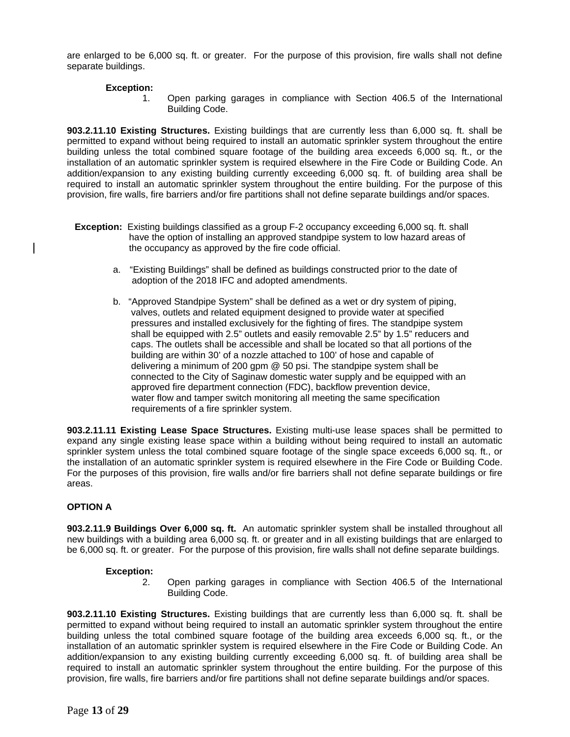are enlarged to be 6,000 sq. ft. or greater. For the purpose of this provision, fire walls shall not define separate buildings.

# **Exception:**

1. Open parking garages in compliance with Section 406.5 of the International Building Code.

**903.2.11.10 Existing Structures.** Existing buildings that are currently less than 6,000 sq. ft. shall be permitted to expand without being required to install an automatic sprinkler system throughout the entire building unless the total combined square footage of the building area exceeds 6,000 sq. ft., or the installation of an automatic sprinkler system is required elsewhere in the Fire Code or Building Code. An addition/expansion to any existing building currently exceeding 6,000 sq. ft. of building area shall be required to install an automatic sprinkler system throughout the entire building. For the purpose of this provision, fire walls, fire barriers and/or fire partitions shall not define separate buildings and/or spaces.

- **Exception:** Existing buildings classified as a group F-2 occupancy exceeding 6,000 sq. ft. shall have the option of installing an approved standpipe system to low hazard areas of the occupancy as approved by the fire code official.
	- a. "Existing Buildings" shall be defined as buildings constructed prior to the date of adoption of the 2018 IFC and adopted amendments.
	- b. "Approved Standpipe System" shall be defined as a wet or dry system of piping, valves, outlets and related equipment designed to provide water at specified pressures and installed exclusively for the fighting of fires. The standpipe system shall be equipped with 2.5" outlets and easily removable 2.5" by 1.5" reducers and caps. The outlets shall be accessible and shall be located so that all portions of the building are within 30' of a nozzle attached to 100' of hose and capable of delivering a minimum of 200 gpm @ 50 psi. The standpipe system shall be connected to the City of Saginaw domestic water supply and be equipped with an approved fire department connection (FDC), backflow prevention device, water flow and tamper switch monitoring all meeting the same specification requirements of a fire sprinkler system.

**903.2.11.11 Existing Lease Space Structures.** Existing multi-use lease spaces shall be permitted to expand any single existing lease space within a building without being required to install an automatic sprinkler system unless the total combined square footage of the single space exceeds 6,000 sq. ft., or the installation of an automatic sprinkler system is required elsewhere in the Fire Code or Building Code. For the purposes of this provision, fire walls and/or fire barriers shall not define separate buildings or fire areas.

# **OPTION A**

**903.2.11.9 Buildings Over 6,000 sq. ft.** An automatic sprinkler system shall be installed throughout all new buildings with a building area 6,000 sq. ft. or greater and in all existing buildings that are enlarged to be 6,000 sq. ft. or greater. For the purpose of this provision, fire walls shall not define separate buildings.

## **Exception:**

2. Open parking garages in compliance with Section 406.5 of the International Building Code.

**903.2.11.10 Existing Structures.** Existing buildings that are currently less than 6,000 sq. ft. shall be permitted to expand without being required to install an automatic sprinkler system throughout the entire building unless the total combined square footage of the building area exceeds 6,000 sq. ft., or the installation of an automatic sprinkler system is required elsewhere in the Fire Code or Building Code. An addition/expansion to any existing building currently exceeding 6,000 sq. ft. of building area shall be required to install an automatic sprinkler system throughout the entire building. For the purpose of this provision, fire walls, fire barriers and/or fire partitions shall not define separate buildings and/or spaces.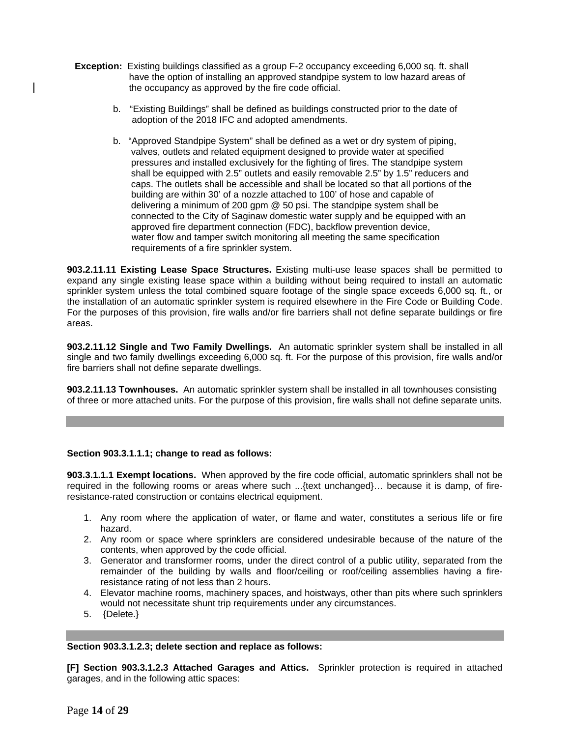- **Exception:** Existing buildings classified as a group F-2 occupancy exceeding 6,000 sq. ft. shall have the option of installing an approved standpipe system to low hazard areas of the occupancy as approved by the fire code official.
	- b. "Existing Buildings" shall be defined as buildings constructed prior to the date of adoption of the 2018 IFC and adopted amendments.
	- b. "Approved Standpipe System" shall be defined as a wet or dry system of piping, valves, outlets and related equipment designed to provide water at specified pressures and installed exclusively for the fighting of fires. The standpipe system shall be equipped with 2.5" outlets and easily removable 2.5" by 1.5" reducers and caps. The outlets shall be accessible and shall be located so that all portions of the building are within 30' of a nozzle attached to 100' of hose and capable of delivering a minimum of 200 gpm @ 50 psi. The standpipe system shall be connected to the City of Saginaw domestic water supply and be equipped with an approved fire department connection (FDC), backflow prevention device, water flow and tamper switch monitoring all meeting the same specification requirements of a fire sprinkler system.

**903.2.11.11 Existing Lease Space Structures.** Existing multi-use lease spaces shall be permitted to expand any single existing lease space within a building without being required to install an automatic sprinkler system unless the total combined square footage of the single space exceeds 6,000 sq. ft., or the installation of an automatic sprinkler system is required elsewhere in the Fire Code or Building Code. For the purposes of this provision, fire walls and/or fire barriers shall not define separate buildings or fire areas.

**903.2.11.12 Single and Two Family Dwellings.** An automatic sprinkler system shall be installed in all single and two family dwellings exceeding 6,000 sq. ft. For the purpose of this provision, fire walls and/or fire barriers shall not define separate dwellings.

**903.2.11.13 Townhouses.** An automatic sprinkler system shall be installed in all townhouses consisting of three or more attached units. For the purpose of this provision, fire walls shall not define separate units.

## **Section 903.3.1.1.1; change to read as follows:**

**903.3.1.1.1 Exempt locations.** When approved by the fire code official, automatic sprinklers shall not be required in the following rooms or areas where such ...{text unchanged}… because it is damp, of fireresistance-rated construction or contains electrical equipment.

- 1. Any room where the application of water, or flame and water, constitutes a serious life or fire hazard.
- 2. Any room or space where sprinklers are considered undesirable because of the nature of the contents, when approved by the code official.
- 3. Generator and transformer rooms, under the direct control of a public utility, separated from the remainder of the building by walls and floor/ceiling or roof/ceiling assemblies having a fireresistance rating of not less than 2 hours.
- 4. Elevator machine rooms, machinery spaces, and hoistways, other than pits where such sprinklers would not necessitate shunt trip requirements under any circumstances.
- 5. {Delete.}

## **Section 903.3.1.2.3; delete section and replace as follows:**

**[F] Section 903.3.1.2.3 Attached Garages and Attics.** Sprinkler protection is required in attached garages, and in the following attic spaces: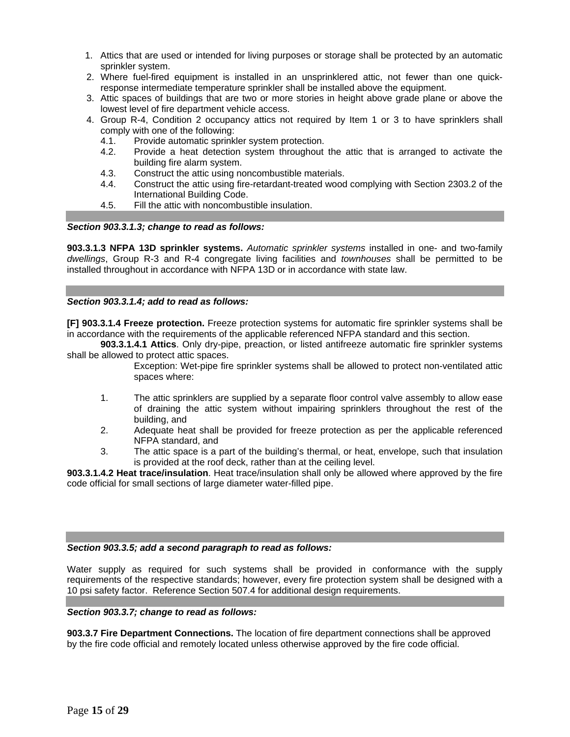- 1. Attics that are used or intended for living purposes or storage shall be protected by an automatic sprinkler system.
- 2. Where fuel-fired equipment is installed in an unsprinklered attic, not fewer than one quickresponse intermediate temperature sprinkler shall be installed above the equipment.
- 3. Attic spaces of buildings that are two or more stories in height above grade plane or above the lowest level of fire department vehicle access.
- 4. Group R-4, Condition 2 occupancy attics not required by Item 1 or 3 to have sprinklers shall comply with one of the following:
	- 4.1. Provide automatic sprinkler system protection.
	- 4.2. Provide a heat detection system throughout the attic that is arranged to activate the building fire alarm system.
	- 4.3. Construct the attic using noncombustible materials.
	- 4.4. Construct the attic using fire-retardant-treated wood complying with Section 2303.2 of the International Building Code.
	- 4.5. Fill the attic with noncombustible insulation.

## *Section 903.3.1.3; change to read as follows:*

**903.3.1.3 NFPA 13D sprinkler systems.** *Automatic sprinkler systems* installed in one- and two-family *dwellings*, Group R-3 and R-4 congregate living facilities and *townhouses* shall be permitted to be installed throughout in accordance with NFPA 13D or in accordance with state law.

# *Section 903.3.1.4; add to read as follows:*

**[F] 903.3.1.4 Freeze protection.** Freeze protection systems for automatic fire sprinkler systems shall be in accordance with the requirements of the applicable referenced NFPA standard and this section.

**903.3.1.4.1 Attics**. Only dry-pipe, preaction, or listed antifreeze automatic fire sprinkler systems shall be allowed to protect attic spaces.

- Exception: Wet-pipe fire sprinkler systems shall be allowed to protect non-ventilated attic spaces where:
- 1. The attic sprinklers are supplied by a separate floor control valve assembly to allow ease of draining the attic system without impairing sprinklers throughout the rest of the building, and
- 2. Adequate heat shall be provided for freeze protection as per the applicable referenced NFPA standard, and
- 3. The attic space is a part of the building's thermal, or heat, envelope, such that insulation is provided at the roof deck, rather than at the ceiling level.

**903.3.1.4.2 Heat trace/insulation**. Heat trace/insulation shall only be allowed where approved by the fire code official for small sections of large diameter water-filled pipe.

## *Section 903.3.5; add a second paragraph to read as follows:*

Water supply as required for such systems shall be provided in conformance with the supply requirements of the respective standards; however, every fire protection system shall be designed with a 10 psi safety factor. Reference Section 507.4 for additional design requirements.

## *Section 903.3.7; change to read as follows:*

**903.3.7 Fire Department Connections.** The location of fire department connections shall be approved by the fire code official and remotely located unless otherwise approved by the fire code official.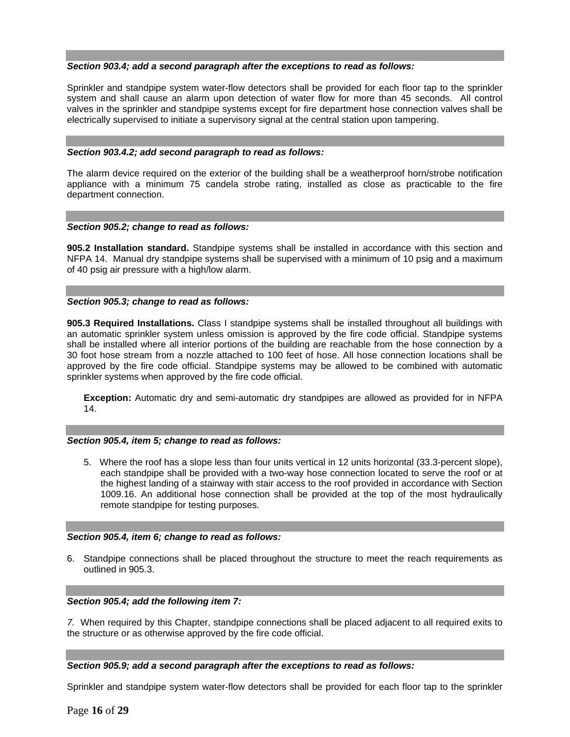## *Section 903.4; add a second paragraph after the exceptions to read as follows:*

Sprinkler and standpipe system water-flow detectors shall be provided for each floor tap to the sprinkler system and shall cause an alarm upon detection of water flow for more than 45 seconds. All control valves in the sprinkler and standpipe systems except for fire department hose connection valves shall be electrically supervised to initiate a supervisory signal at the central station upon tampering.

#### *Section 903.4.2; add second paragraph to read as follows:*

The alarm device required on the exterior of the building shall be a weatherproof horn/strobe notification appliance with a minimum 75 candela strobe rating, installed as close as practicable to the fire department connection.

#### *Section 905.2; change to read as follows:*

**905.2 Installation standard.** Standpipe systems shall be installed in accordance with this section and NFPA 14. Manual dry standpipe systems shall be supervised with a minimum of 10 psig and a maximum of 40 psig air pressure with a high/low alarm.

## *Section 905.3; change to read as follows:*

**905.3 Required Installations.** Class I standpipe systems shall be installed throughout all buildings with an automatic sprinkler system unless omission is approved by the fire code official. Standpipe systems shall be installed where all interior portions of the building are reachable from the hose connection by a 30 foot hose stream from a nozzle attached to 100 feet of hose. All hose connection locations shall be approved by the fire code official. Standpipe systems may be allowed to be combined with automatic sprinkler systems when approved by the fire code official.

**Exception:** Automatic dry and semi-automatic dry standpipes are allowed as provided for in NFPA 14.

## *Section 905.4, item 5; change to read as follows:*

5. Where the roof has a slope less than four units vertical in 12 units horizontal (33.3-percent slope), each standpipe shall be provided with a two-way hose connection located to serve the roof or at the highest landing of a stairway with stair access to the roof provided in accordance with Section 1009.16. An additional hose connection shall be provided at the top of the most hydraulically remote standpipe for testing purposes.

#### *Section 905.4, item 6; change to read as follows:*

6. Standpipe connections shall be placed throughout the structure to meet the reach requirements as outlined in 905.3.

## *Section 905.4; add the following item 7:*

*7.* When required by this Chapter, standpipe connections shall be placed adjacent to all required exits to the structure or as otherwise approved by the fire code official.

#### *Section 905.9; add a second paragraph after the exceptions to read as follows:*

Sprinkler and standpipe system water-flow detectors shall be provided for each floor tap to the sprinkler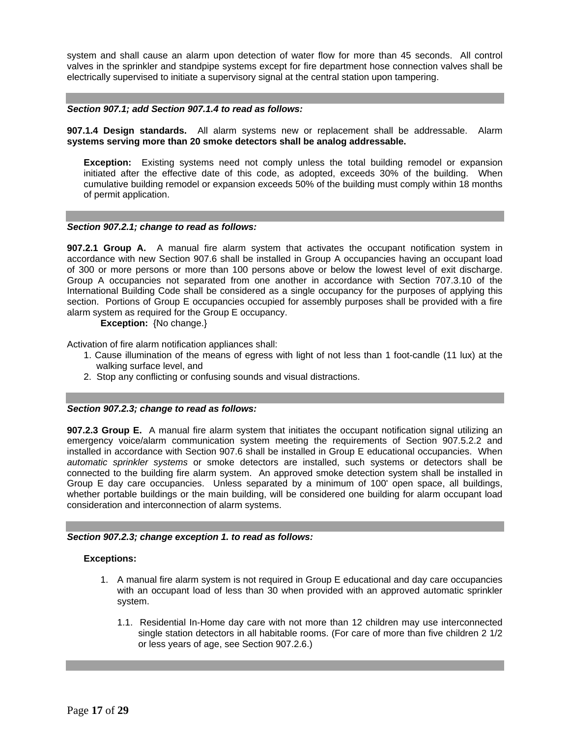system and shall cause an alarm upon detection of water flow for more than 45 seconds. All control valves in the sprinkler and standpipe systems except for fire department hose connection valves shall be electrically supervised to initiate a supervisory signal at the central station upon tampering.

#### *Section 907.1; add Section 907.1.4 to read as follows:*

**907.1.4 Design standards.** All alarm systems new or replacement shall be addressable. Alarm **systems serving more than 20 smoke detectors shall be analog addressable.** 

**Exception:** Existing systems need not comply unless the total building remodel or expansion initiated after the effective date of this code, as adopted, exceeds 30% of the building. When cumulative building remodel or expansion exceeds 50% of the building must comply within 18 months of permit application.

#### *Section 907.2.1; change to read as follows:*

**907.2.1 Group A.** A manual fire alarm system that activates the occupant notification system in accordance with new Section 907.6 shall be installed in Group A occupancies having an occupant load of 300 or more persons or more than 100 persons above or below the lowest level of exit discharge. Group A occupancies not separated from one another in accordance with Section 707.3.10 of the International Building Code shall be considered as a single occupancy for the purposes of applying this section. Portions of Group E occupancies occupied for assembly purposes shall be provided with a fire alarm system as required for the Group E occupancy.

**Exception:** {No change.}

Activation of fire alarm notification appliances shall:

- 1. Cause illumination of the means of egress with light of not less than 1 foot-candle (11 lux) at the walking surface level, and
- 2. Stop any conflicting or confusing sounds and visual distractions.

#### *Section 907.2.3; change to read as follows:*

**907.2.3 Group E.** A manual fire alarm system that initiates the occupant notification signal utilizing an emergency voice/alarm communication system meeting the requirements of Section 907.5.2.2 and installed in accordance with Section 907.6 shall be installed in Group E educational occupancies. When *automatic sprinkler systems* or smoke detectors are installed, such systems or detectors shall be connected to the building fire alarm system. An approved smoke detection system shall be installed in Group E day care occupancies. Unless separated by a minimum of 100' open space, all buildings, whether portable buildings or the main building, will be considered one building for alarm occupant load consideration and interconnection of alarm systems.

## *Section 907.2.3; change exception 1. to read as follows:*

#### **Exceptions:**

- 1. A manual fire alarm system is not required in Group E educational and day care occupancies with an occupant load of less than 30 when provided with an approved automatic sprinkler system.
	- 1.1. Residential In-Home day care with not more than 12 children may use interconnected single station detectors in all habitable rooms. (For care of more than five children 2 1/2 or less years of age, see Section 907.2.6.)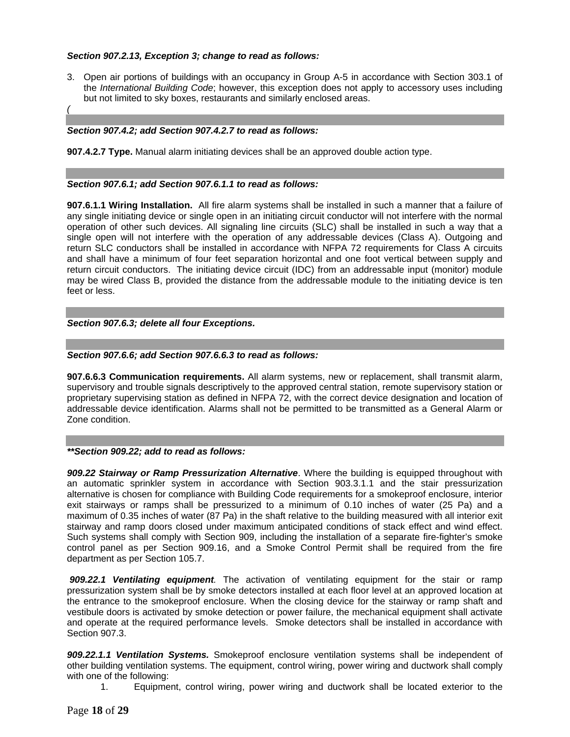# *Section 907.2.13, Exception 3; change to read as follows:*

3. Open air portions of buildings with an occupancy in Group A-5 in accordance with Section 303.1 of the *International Building Code*; however, this exception does not apply to accessory uses including but not limited to sky boxes, restaurants and similarly enclosed areas.

# *Section 907.4.2; add Section 907.4.2.7 to read as follows:*

*(* 

**907.4.2.7 Type.** Manual alarm initiating devices shall be an approved double action type.

# *Section 907.6.1; add Section 907.6.1.1 to read as follows:*

**907.6.1.1 Wiring Installation.** All fire alarm systems shall be installed in such a manner that a failure of any single initiating device or single open in an initiating circuit conductor will not interfere with the normal operation of other such devices. All signaling line circuits (SLC) shall be installed in such a way that a single open will not interfere with the operation of any addressable devices (Class A). Outgoing and return SLC conductors shall be installed in accordance with NFPA 72 requirements for Class A circuits and shall have a minimum of four feet separation horizontal and one foot vertical between supply and return circuit conductors. The initiating device circuit (IDC) from an addressable input (monitor) module may be wired Class B, provided the distance from the addressable module to the initiating device is ten feet or less.

# *Section 907.6.3; delete all four Exceptions.*

# *Section 907.6.6; add Section 907.6.6.3 to read as follows:*

**907.6.6.3 Communication requirements.** All alarm systems, new or replacement, shall transmit alarm, supervisory and trouble signals descriptively to the approved central station, remote supervisory station or proprietary supervising station as defined in NFPA 72, with the correct device designation and location of addressable device identification. Alarms shall not be permitted to be transmitted as a General Alarm or Zone condition.

## *\*\*Section 909.22; add to read as follows:*

*909.22 Stairway or Ramp Pressurization Alternative*. Where the building is equipped throughout with an automatic sprinkler system in accordance with Section 903.3.1.1 and the stair pressurization alternative is chosen for compliance with Building Code requirements for a smokeproof enclosure, interior exit stairways or ramps shall be pressurized to a minimum of 0.10 inches of water (25 Pa) and a maximum of 0.35 inches of water (87 Pa) in the shaft relative to the building measured with all interior exit stairway and ramp doors closed under maximum anticipated conditions of stack effect and wind effect. Such systems shall comply with Section 909, including the installation of a separate fire-fighter's smoke control panel as per Section 909.16, and a Smoke Control Permit shall be required from the fire department as per Section 105.7.

*909.22.1 Ventilating equipment.* The activation of ventilating equipment for the stair or ramp pressurization system shall be by smoke detectors installed at each floor level at an approved location at the entrance to the smokeproof enclosure. When the closing device for the stairway or ramp shaft and vestibule doors is activated by smoke detection or power failure, the mechanical equipment shall activate and operate at the required performance levels. Smoke detectors shall be installed in accordance with Section 907.3.

*909.22.1.1 Ventilation Systems.* Smokeproof enclosure ventilation systems shall be independent of other building ventilation systems. The equipment, control wiring, power wiring and ductwork shall comply with one of the following:

1. Equipment, control wiring, power wiring and ductwork shall be located exterior to the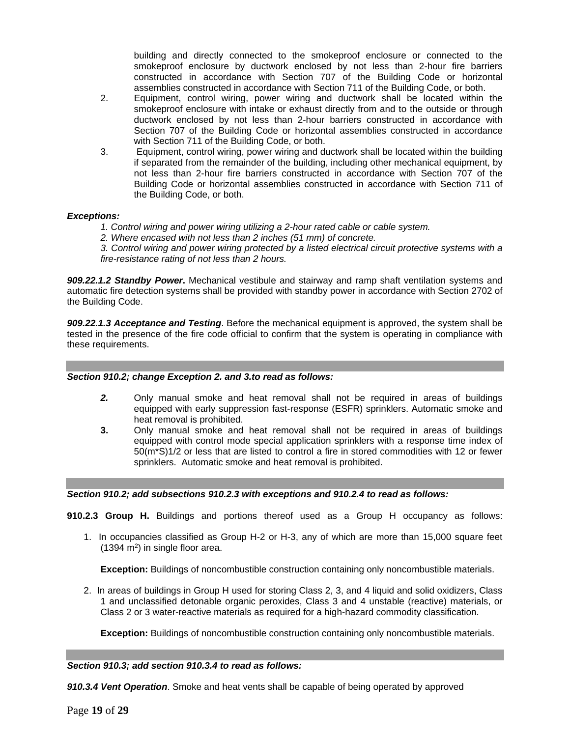building and directly connected to the smokeproof enclosure or connected to the smokeproof enclosure by ductwork enclosed by not less than 2-hour fire barriers constructed in accordance with Section 707 of the Building Code or horizontal assemblies constructed in accordance with Section 711 of the Building Code, or both.

- 2. Equipment, control wiring, power wiring and ductwork shall be located within the smokeproof enclosure with intake or exhaust directly from and to the outside or through ductwork enclosed by not less than 2-hour barriers constructed in accordance with Section 707 of the Building Code or horizontal assemblies constructed in accordance with Section 711 of the Building Code, or both.
- 3. Equipment, control wiring, power wiring and ductwork shall be located within the building if separated from the remainder of the building, including other mechanical equipment, by not less than 2-hour fire barriers constructed in accordance with Section 707 of the Building Code or horizontal assemblies constructed in accordance with Section 711 of the Building Code, or both.

## *Exceptions:*

- *1. Control wiring and power wiring utilizing a 2-hour rated cable or cable system.*
- *2. Where encased with not less than 2 inches (51 mm) of concrete.*

*3. Control wiring and power wiring protected by a listed electrical circuit protective systems with a fire-resistance rating of not less than 2 hours.* 

*909.22.1.2 Standby Power***.** Mechanical vestibule and stairway and ramp shaft ventilation systems and automatic fire detection systems shall be provided with standby power in accordance with Section 2702 of the Building Code.

*909.22.1.3 Acceptance and Testing*. Before the mechanical equipment is approved, the system shall be tested in the presence of the fire code official to confirm that the system is operating in compliance with these requirements.

## *Section 910.2; change Exception 2. and 3.to read as follows:*

- *2.* Only manual smoke and heat removal shall not be required in areas of buildings equipped with early suppression fast-response (ESFR) sprinklers. Automatic smoke and heat removal is prohibited.
- **3.** Only manual smoke and heat removal shall not be required in areas of buildings equipped with control mode special application sprinklers with a response time index of 50(m\*S)1/2 or less that are listed to control a fire in stored commodities with 12 or fewer sprinklers. Automatic smoke and heat removal is prohibited.

## *Section 910.2; add subsections 910.2.3 with exceptions and 910.2.4 to read as follows:*

**910.2.3 Group H.** Buildings and portions thereof used as a Group H occupancy as follows:

1. In occupancies classified as Group H-2 or H-3, any of which are more than 15,000 square feet  $(1394 \text{ m}^2)$  in single floor area.

**Exception:** Buildings of noncombustible construction containing only noncombustible materials.

2. In areas of buildings in Group H used for storing Class 2, 3, and 4 liquid and solid oxidizers, Class 1 and unclassified detonable organic peroxides, Class 3 and 4 unstable (reactive) materials, or Class 2 or 3 water-reactive materials as required for a high-hazard commodity classification.

**Exception:** Buildings of noncombustible construction containing only noncombustible materials.

## *Section 910.3; add section 910.3.4 to read as follows:*

*910.3.4 Vent Operation*. Smoke and heat vents shall be capable of being operated by approved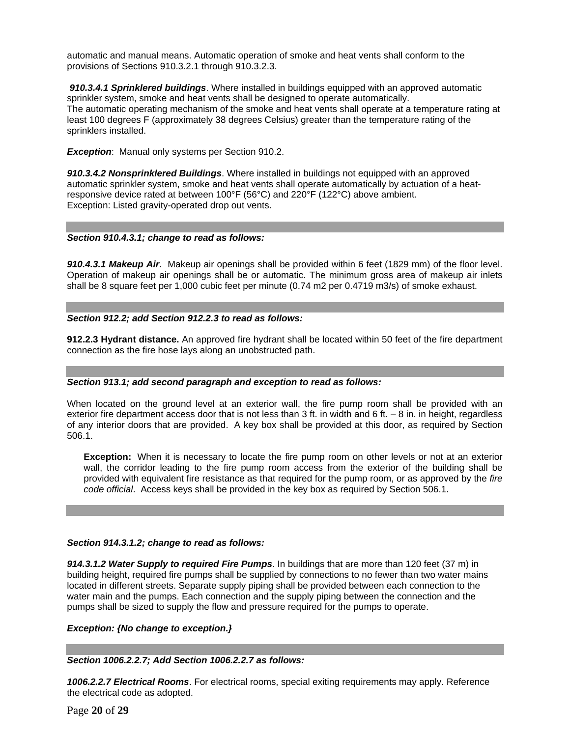automatic and manual means. Automatic operation of smoke and heat vents shall conform to the provisions of Sections 910.3.2.1 through 910.3.2.3.

 *910.3.4.1 Sprinklered buildings*. Where installed in buildings equipped with an approved automatic sprinkler system, smoke and heat vents shall be designed to operate automatically. The automatic operating mechanism of the smoke and heat vents shall operate at a temperature rating at least 100 degrees F (approximately 38 degrees Celsius) greater than the temperature rating of the sprinklers installed.

**Exception:** Manual only systems per Section 910.2.

*910.3.4.2 Nonsprinklered Buildings*. Where installed in buildings not equipped with an approved automatic sprinkler system, smoke and heat vents shall operate automatically by actuation of a heatresponsive device rated at between 100°F (56°C) and 220°F (122°C) above ambient. Exception: Listed gravity-operated drop out vents.

## *Section 910.4.3.1; change to read as follows:*

*910.4.3.1 Makeup Air*. Makeup air openings shall be provided within 6 feet (1829 mm) of the floor level. Operation of makeup air openings shall be or automatic. The minimum gross area of makeup air inlets shall be 8 square feet per 1,000 cubic feet per minute (0.74 m2 per 0.4719 m3/s) of smoke exhaust.

## *Section 912.2; add Section 912.2.3 to read as follows:*

**912.2.3 Hydrant distance.** An approved fire hydrant shall be located within 50 feet of the fire department connection as the fire hose lays along an unobstructed path.

## *Section 913.1; add second paragraph and exception to read as follows:*

When located on the ground level at an exterior wall, the fire pump room shall be provided with an exterior fire department access door that is not less than 3 ft. in width and 6 ft. – 8 in. in height, regardless of any interior doors that are provided. A key box shall be provided at this door, as required by Section 506.1.

**Exception:** When it is necessary to locate the fire pump room on other levels or not at an exterior wall, the corridor leading to the fire pump room access from the exterior of the building shall be provided with equivalent fire resistance as that required for the pump room, or as approved by the *fire code official*. Access keys shall be provided in the key box as required by Section 506.1.

## *Section 914.3.1.2; change to read as follows:*

*914.3.1.2 Water Supply to required Fire Pumps*. In buildings that are more than 120 feet (37 m) in building height, required fire pumps shall be supplied by connections to no fewer than two water mains located in different streets. Separate supply piping shall be provided between each connection to the water main and the pumps. Each connection and the supply piping between the connection and the pumps shall be sized to supply the flow and pressure required for the pumps to operate.

#### *Exception: {No change to exception.}*

## *Section 1006.2.2.7; Add Section 1006.2.2.7 as follows:*

*1006.2.2.7 Electrical Rooms*. For electrical rooms, special exiting requirements may apply. Reference the electrical code as adopted.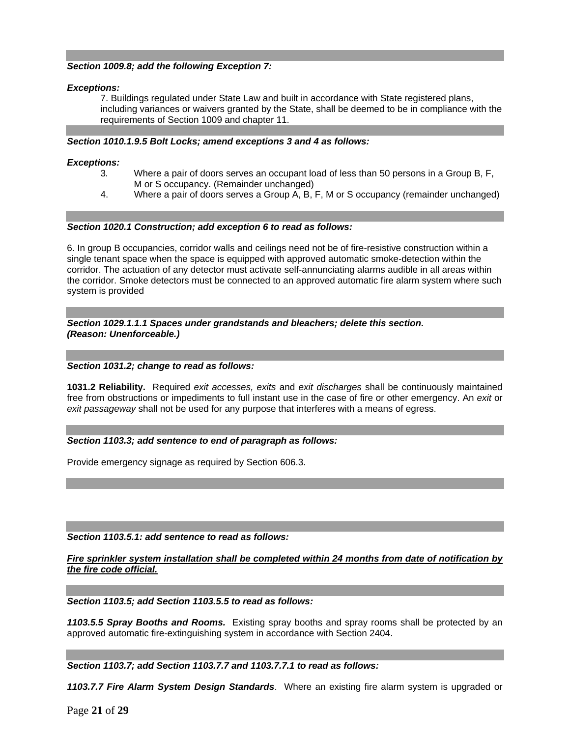# *Section 1009.8; add the following Exception 7:*

## *Exceptions:*

7. Buildings regulated under State Law and built in accordance with State registered plans, including variances or waivers granted by the State, shall be deemed to be in compliance with the requirements of Section 1009 and chapter 11.

# *Section 1010.1.9.5 Bolt Locks; amend exceptions 3 and 4 as follows:*

# *Exceptions:*

- 3*.* Where a pair of doors serves an occupant load of less than 50 persons in a Group B, F, M or S occupancy. (Remainder unchanged)
- 4. Where a pair of doors serves a Group A, B, F, M or S occupancy (remainder unchanged)

# *Section 1020.1 Construction; add exception 6 to read as follows:*

6. In group B occupancies, corridor walls and ceilings need not be of fire-resistive construction within a single tenant space when the space is equipped with approved automatic smoke-detection within the corridor. The actuation of any detector must activate self-annunciating alarms audible in all areas within the corridor. Smoke detectors must be connected to an approved automatic fire alarm system where such system is provided

*Section 1029.1.1.1 Spaces under grandstands and bleachers; delete this section. (Reason: Unenforceable.)* 

# *Section 1031.2; change to read as follows:*

**1031.2 Reliability.** Required *exit accesses, exits* and *exit discharges* shall be continuously maintained free from obstructions or impediments to full instant use in the case of fire or other emergency. An *exit* or *exit passageway* shall not be used for any purpose that interferes with a means of egress.

## *Section 1103.3; add sentence to end of paragraph as follows:*

Provide emergency signage as required by Section 606.3.

## *Section 1103.5.1: add sentence to read as follows:*

*Fire sprinkler system installation shall be completed within 24 months from date of notification by the fire code official.* 

*Section 1103.5; add Section 1103.5.5 to read as follows:* 

*1103.5.5 Spray Booths and Rooms.* Existing spray booths and spray rooms shall be protected by an approved automatic fire-extinguishing system in accordance with Section 2404.

*Section 1103.7; add Section 1103.7.7 and 1103.7.7.1 to read as follows:* 

*1103.7.7 Fire Alarm System Design Standards*. Where an existing fire alarm system is upgraded or

Page **21** of **29**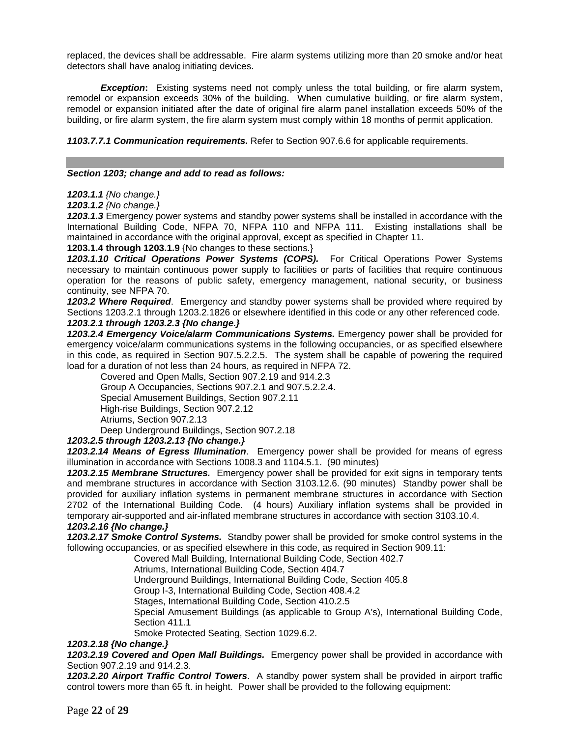replaced, the devices shall be addressable. Fire alarm systems utilizing more than 20 smoke and/or heat detectors shall have analog initiating devices.

**Exception:** Existing systems need not comply unless the total building, or fire alarm system, remodel or expansion exceeds 30% of the building. When cumulative building, or fire alarm system, remodel or expansion initiated after the date of original fire alarm panel installation exceeds 50% of the building, or fire alarm system, the fire alarm system must comply within 18 months of permit application.

*1103.7.7.1 Communication requirements.* Refer to Section 907.6.6 for applicable requirements.

#### *Section 1203; change and add to read as follows:*

*1203.1.1 {No change.}*

*1203.1.2 {No change.}*

*1203.1.3* Emergency power systems and standby power systems shall be installed in accordance with the International Building Code, NFPA 70, NFPA 110 and NFPA 111. Existing installations shall be maintained in accordance with the original approval, except as specified in Chapter 11.

**1203.1.4 through 1203.1.9** {No changes to these sections.}

*1203.1.10 Critical Operations Power Systems (COPS).* For Critical Operations Power Systems necessary to maintain continuous power supply to facilities or parts of facilities that require continuous operation for the reasons of public safety, emergency management, national security, or business continuity, see NFPA 70.

*1203.2 Where Required*. Emergency and standby power systems shall be provided where required by Sections 1203.2.1 through 1203.2.1826 or elsewhere identified in this code or any other referenced code. *1203.2.1 through 1203.2.3 {No change.}* 

*1203.2.4 Emergency Voice/alarm Communications Systems.* Emergency power shall be provided for emergency voice/alarm communications systems in the following occupancies, or as specified elsewhere in this code, as required in Section 907.5.2.2.5. The system shall be capable of powering the required load for a duration of not less than 24 hours, as required in NFPA 72.

Covered and Open Malls, Section 907.2.19 and 914.2.3 Group A Occupancies, Sections 907.2.1 and 907.5.2.2.4. Special Amusement Buildings, Section 907.2.11 High-rise Buildings, Section 907.2.12 Atriums, Section 907.2.13 Deep Underground Buildings, Section 907.2.18

## *1203.2.5 through 1203.2.13 {No change.}*

*1203.2.14 Means of Egress Illumination*. Emergency power shall be provided for means of egress illumination in accordance with Sections 1008.3 and 1104.5.1. (90 minutes)

*1203.2.15 Membrane Structures.* Emergency power shall be provided for exit signs in temporary tents and membrane structures in accordance with Section 3103.12.6. (90 minutes) Standby power shall be provided for auxiliary inflation systems in permanent membrane structures in accordance with Section 2702 of the International Building Code. (4 hours) Auxiliary inflation systems shall be provided in temporary air-supported and air-inflated membrane structures in accordance with section 3103.10.4. *1203.2.16 {No change.}* 

*1203.2.17 Smoke Control Systems.* Standby power shall be provided for smoke control systems in the following occupancies, or as specified elsewhere in this code, as required in Section 909.11:

Covered Mall Building, International Building Code, Section 402.7

Atriums, International Building Code, Section 404.7

Underground Buildings, International Building Code, Section 405.8

Group I-3, International Building Code, Section 408.4.2

Stages, International Building Code, Section 410.2.5

Special Amusement Buildings (as applicable to Group A's), International Building Code, Section 411.1

Smoke Protected Seating, Section 1029.6.2.

# *1203.2.18 {No change.}*

*1203.2.19 Covered and Open Mall Buildings.* Emergency power shall be provided in accordance with Section 907.2.19 and 914.2.3.

*1203.2.20 Airport Traffic Control Towers*. A standby power system shall be provided in airport traffic control towers more than 65 ft. in height. Power shall be provided to the following equipment: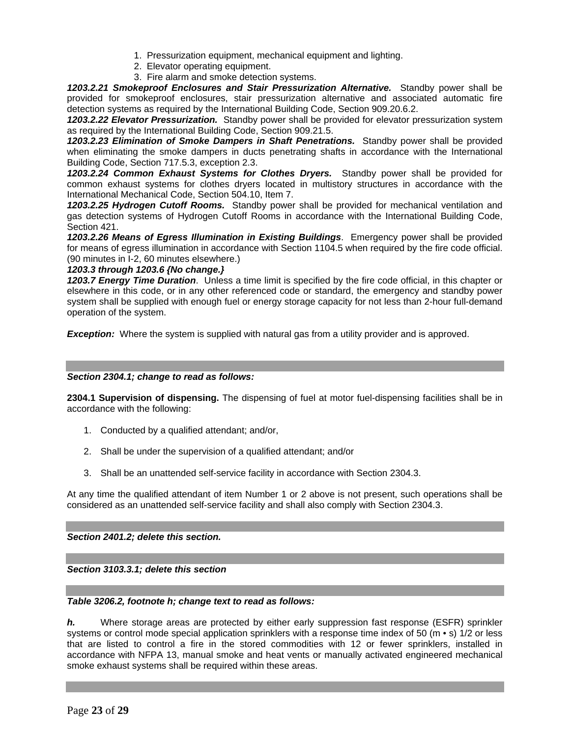- 1. Pressurization equipment, mechanical equipment and lighting.
- 2. Elevator operating equipment.
- 3. Fire alarm and smoke detection systems.

*1203.2.21 Smokeproof Enclosures and Stair Pressurization Alternative.* Standby power shall be provided for smokeproof enclosures, stair pressurization alternative and associated automatic fire detection systems as required by the International Building Code, Section 909.20.6.2.

*1203.2.22 Elevator Pressurization.* Standby power shall be provided for elevator pressurization system as required by the International Building Code, Section 909.21.5.

*1203.2.23 Elimination of Smoke Dampers in Shaft Penetrations.* Standby power shall be provided when eliminating the smoke dampers in ducts penetrating shafts in accordance with the International Building Code, Section 717.5.3, exception 2.3.

*1203.2.24 Common Exhaust Systems for Clothes Dryers.* Standby power shall be provided for common exhaust systems for clothes dryers located in multistory structures in accordance with the International Mechanical Code, Section 504.10, Item 7.

*1203.2.25 Hydrogen Cutoff Rooms.* Standby power shall be provided for mechanical ventilation and gas detection systems of Hydrogen Cutoff Rooms in accordance with the International Building Code, Section 421.

*1203.2.26 Means of Egress Illumination in Existing Buildings*. Emergency power shall be provided for means of egress illumination in accordance with Section 1104.5 when required by the fire code official. (90 minutes in I-2, 60 minutes elsewhere.)

# *1203.3 through 1203.6 {No change.}*

*1203.7 Energy Time Duration*. Unless a time limit is specified by the fire code official, in this chapter or elsewhere in this code, or in any other referenced code or standard, the emergency and standby power system shall be supplied with enough fuel or energy storage capacity for not less than 2-hour full-demand operation of the system.

**Exception:** Where the system is supplied with natural gas from a utility provider and is approved.

## *Section 2304.1; change to read as follows:*

**2304.1 Supervision of dispensing.** The dispensing of fuel at motor fuel-dispensing facilities shall be in accordance with the following:

- 1. Conducted by a qualified attendant; and/or,
- 2. Shall be under the supervision of a qualified attendant; and/or
- 3. Shall be an unattended self-service facility in accordance with Section 2304.3.

At any time the qualified attendant of item Number 1 or 2 above is not present, such operations shall be considered as an unattended self-service facility and shall also comply with Section 2304.3.

*Section 2401.2; delete this section.* 

*Section 3103.3.1; delete this section* 

# *Table 3206.2, footnote h; change text to read as follows:*

*h.* Where storage areas are protected by either early suppression fast response (ESFR) sprinkler systems or control mode special application sprinklers with a response time index of 50 (m  $\cdot$  s) 1/2 or less that are listed to control a fire in the stored commodities with 12 or fewer sprinklers, installed in accordance with NFPA 13, manual smoke and heat vents or manually activated engineered mechanical smoke exhaust systems shall be required within these areas.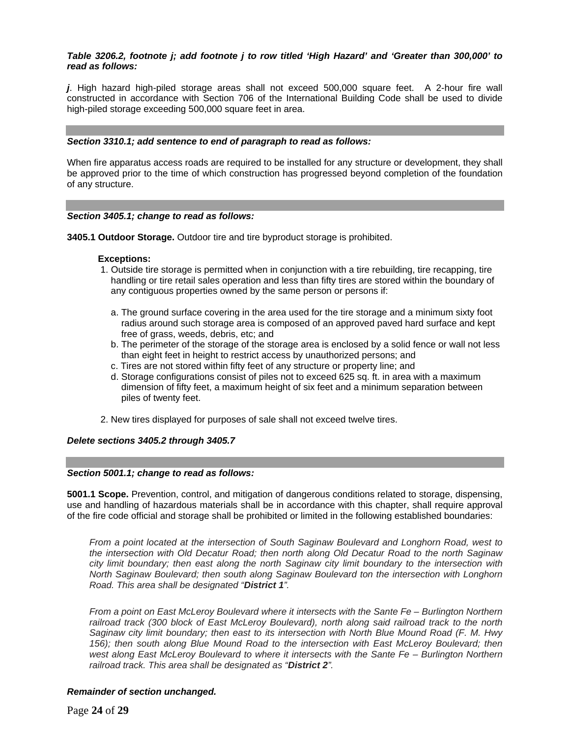# *Table 3206.2, footnote j; add footnote j to row titled 'High Hazard' and 'Greater than 300,000' to read as follows:*

*j*. High hazard high-piled storage areas shall not exceed 500,000 square feet. A 2-hour fire wall constructed in accordance with Section 706 of the International Building Code shall be used to divide high-piled storage exceeding 500,000 square feet in area.

#### *Section 3310.1; add sentence to end of paragraph to read as follows:*

When fire apparatus access roads are required to be installed for any structure or development, they shall be approved prior to the time of which construction has progressed beyond completion of the foundation of any structure.

#### *Section 3405.1; change to read as follows:*

**3405.1 Outdoor Storage.** Outdoor tire and tire byproduct storage is prohibited.

#### **Exceptions:**

- 1. Outside tire storage is permitted when in conjunction with a tire rebuilding, tire recapping, tire handling or tire retail sales operation and less than fifty tires are stored within the boundary of any contiguous properties owned by the same person or persons if:
	- a. The ground surface covering in the area used for the tire storage and a minimum sixty foot radius around such storage area is composed of an approved paved hard surface and kept free of grass, weeds, debris, etc; and
	- b. The perimeter of the storage of the storage area is enclosed by a solid fence or wall not less than eight feet in height to restrict access by unauthorized persons; and
	- c. Tires are not stored within fifty feet of any structure or property line; and
	- d. Storage configurations consist of piles not to exceed 625 sq. ft. in area with a maximum dimension of fifty feet, a maximum height of six feet and a minimum separation between piles of twenty feet.
- 2. New tires displayed for purposes of sale shall not exceed twelve tires.

## *Delete sections 3405.2 through 3405.7*

#### *Section 5001.1; change to read as follows:*

**5001.1 Scope.** Prevention, control, and mitigation of dangerous conditions related to storage, dispensing, use and handling of hazardous materials shall be in accordance with this chapter, shall require approval of the fire code official and storage shall be prohibited or limited in the following established boundaries:

*From a point located at the intersection of South Saginaw Boulevard and Longhorn Road, west to the intersection with Old Decatur Road; then north along Old Decatur Road to the north Saginaw city limit boundary; then east along the north Saginaw city limit boundary to the intersection with North Saginaw Boulevard; then south along Saginaw Boulevard ton the intersection with Longhorn Road. This area shall be designated "District 1".* 

*From a point on East McLeroy Boulevard where it intersects with the Sante Fe – Burlington Northern railroad track (300 block of East McLeroy Boulevard), north along said railroad track to the north Saginaw city limit boundary; then east to its intersection with North Blue Mound Road (F. M. Hwy*  156); then south along Blue Mound Road to the intersection with East McLeroy Boulevard; then *west along East McLeroy Boulevard to where it intersects with the Sante Fe – Burlington Northern railroad track. This area shall be designated as "District 2".* 

## *Remainder of section unchanged.*

Page **24** of **29**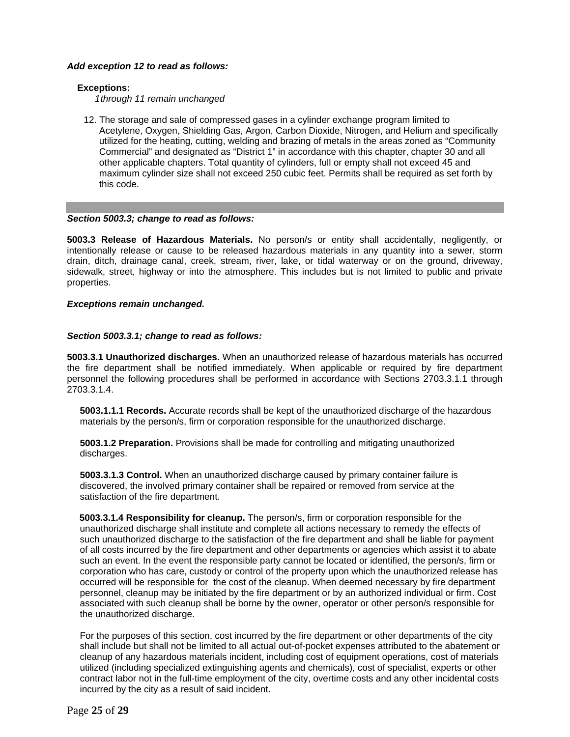# *Add exception 12 to read as follows:*

# **Exceptions:**

*1 through 11 remain unchanged* 

12. The storage and sale of compressed gases in a cylinder exchange program limited to Acetylene, Oxygen, Shielding Gas, Argon, Carbon Dioxide, Nitrogen, and Helium and specifically utilized for the heating, cutting, welding and brazing of metals in the areas zoned as "Community Commercial" and designated as "District 1" in accordance with this chapter, chapter 30 and all other applicable chapters. Total quantity of cylinders, full or empty shall not exceed 45 and maximum cylinder size shall not exceed 250 cubic feet. Permits shall be required as set forth by this code.

# *Section 5003.3; change to read as follows:*

**5003.3 Release of Hazardous Materials.** No person/s or entity shall accidentally, negligently, or intentionally release or cause to be released hazardous materials in any quantity into a sewer, storm drain, ditch, drainage canal, creek, stream, river, lake, or tidal waterway or on the ground, driveway, sidewalk, street, highway or into the atmosphere. This includes but is not limited to public and private properties.

## *Exceptions remain unchanged.*

# *Section 5003.3.1; change to read as follows:*

**5003.3.1 Unauthorized discharges.** When an unauthorized release of hazardous materials has occurred the fire department shall be notified immediately. When applicable or required by fire department personnel the following procedures shall be performed in accordance with Sections 2703.3.1.1 through 2703.3.1.4.

 **5003.1.1.1 Records.** Accurate records shall be kept of the unauthorized discharge of the hazardous materials by the person/s, firm or corporation responsible for the unauthorized discharge.

 **5003.1.2 Preparation.** Provisions shall be made for controlling and mitigating unauthorized discharges.

 **5003.3.1.3 Control.** When an unauthorized discharge caused by primary container failure is discovered, the involved primary container shall be repaired or removed from service at the satisfaction of the fire department.

**5003.3.1.4 Responsibility for cleanup.** The person/s, firm or corporation responsible for the unauthorized discharge shall institute and complete all actions necessary to remedy the effects of such unauthorized discharge to the satisfaction of the fire department and shall be liable for payment of all costs incurred by the fire department and other departments or agencies which assist it to abate such an event. In the event the responsible party cannot be located or identified, the person/s, firm or corporation who has care, custody or control of the property upon which the unauthorized release has occurred will be responsible for the cost of the cleanup. When deemed necessary by fire department personnel, cleanup may be initiated by the fire department or by an authorized individual or firm. Cost associated with such cleanup shall be borne by the owner, operator or other person/s responsible for the unauthorized discharge.

 For the purposes of this section, cost incurred by the fire department or other departments of the city shall include but shall not be limited to all actual out-of-pocket expenses attributed to the abatement or cleanup of any hazardous materials incident, including cost of equipment operations, cost of materials utilized (including specialized extinguishing agents and chemicals), cost of specialist, experts or other contract labor not in the full-time employment of the city, overtime costs and any other incidental costs incurred by the city as a result of said incident.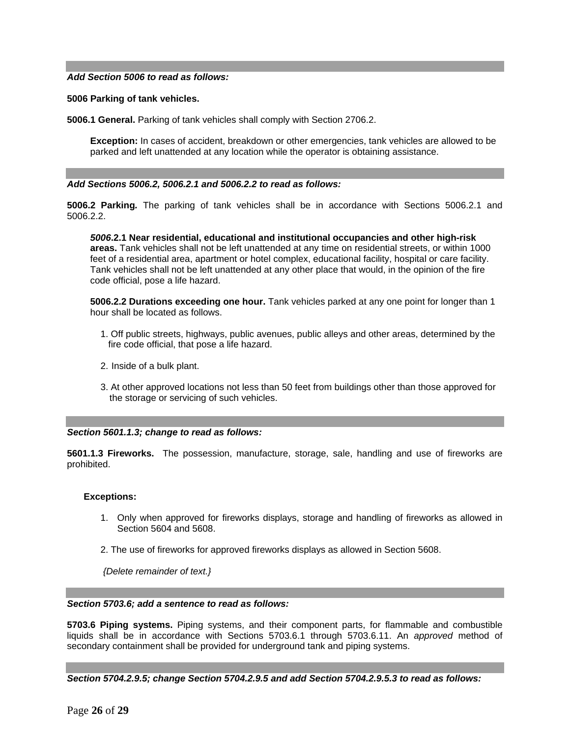#### *Add Section 5006 to read as follows:*

#### **5006 Parking of tank vehicles.**

**5006.1 General.** Parking of tank vehicles shall comply with Section 2706.2.

 **Exception:** In cases of accident, breakdown or other emergencies, tank vehicles are allowed to be parked and left unattended at any location while the operator is obtaining assistance.

#### *Add Sections 5006.2, 5006.2.1 and 5006.2.2 to read as follows:*

**5006.2 Parking***.* The parking of tank vehicles shall be in accordance with Sections 5006.2.1 and 5006.2.2.

 *5006***.2.1 Near residential, educational and institutional occupancies and other high-risk areas.** Tank vehicles shall not be left unattended at any time on residential streets, or within 1000 feet of a residential area, apartment or hotel complex, educational facility, hospital or care facility. Tank vehicles shall not be left unattended at any other place that would, in the opinion of the fire code official, pose a life hazard.

 **5006.2.2 Durations exceeding one hour.** Tank vehicles parked at any one point for longer than 1 hour shall be located as follows.

- 1. Off public streets, highways, public avenues, public alleys and other areas, determined by the fire code official, that pose a life hazard.
- 2. Inside of a bulk plant.
- 3. At other approved locations not less than 50 feet from buildings other than those approved for the storage or servicing of such vehicles.

#### *Section 5601.1.3; change to read as follows:*

**5601.1.3 Fireworks.** The possession, manufacture, storage, sale, handling and use of fireworks are prohibited.

#### **Exceptions:**

- 1. Only when approved for fireworks displays, storage and handling of fireworks as allowed in Section 5604 and 5608.
- 2. The use of fireworks for approved fireworks displays as allowed in Section 5608.

 *{Delete remainder of text.}*

#### *Section 5703.6; add a sentence to read as follows:*

**5703.6 Piping systems.** Piping systems, and their component parts, for flammable and combustible liquids shall be in accordance with Sections 5703.6.1 through 5703.6.11. An *approved* method of secondary containment shall be provided for underground tank and piping systems.

*Section 5704.2.9.5; change Section 5704.2.9.5 and add Section 5704.2.9.5.3 to read as follows:*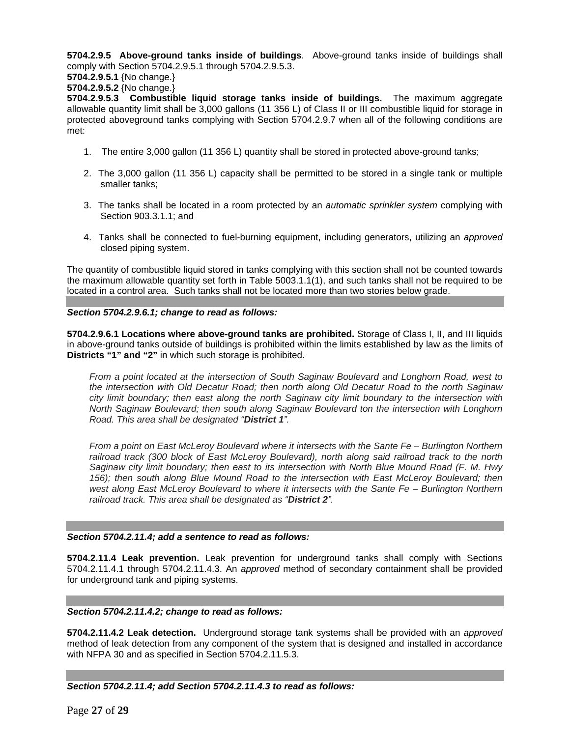**5704.2.9.5 Above-ground tanks inside of buildings**. Above-ground tanks inside of buildings shall comply with Section 5704.2.9.5.1 through 5704.2.9.5.3.

**5704.2.9.5.1** {No change.}

**5704.2.9.5.2** {No change.}

**5704.2.9.5.3 Combustible liquid storage tanks inside of buildings.** The maximum aggregate allowable quantity limit shall be 3,000 gallons (11 356 L) of Class II or III combustible liquid for storage in protected aboveground tanks complying with Section 5704.2.9.7 when all of the following conditions are met:

- 1. The entire 3,000 gallon (11 356 L) quantity shall be stored in protected above-ground tanks;
- 2. The 3,000 gallon (11 356 L) capacity shall be permitted to be stored in a single tank or multiple smaller tanks;
- 3. The tanks shall be located in a room protected by an *automatic sprinkler system* complying with Section 903.3.1.1; and
- 4. Tanks shall be connected to fuel-burning equipment, including generators, utilizing an *approved* closed piping system.

The quantity of combustible liquid stored in tanks complying with this section shall not be counted towards the maximum allowable quantity set forth in Table 5003.1.1(1), and such tanks shall not be required to be located in a control area. Such tanks shall not be located more than two stories below grade.

## *Section 5704.2.9.6.1; change to read as follows:*

**5704.2.9.6.1 Locations where above-ground tanks are prohibited.** Storage of Class I, II, and III liquids in above-ground tanks outside of buildings is prohibited within the limits established by law as the limits of **Districts "1" and "2"** in which such storage is prohibited.

*From a point located at the intersection of South Saginaw Boulevard and Longhorn Road, west to the intersection with Old Decatur Road; then north along Old Decatur Road to the north Saginaw city limit boundary; then east along the north Saginaw city limit boundary to the intersection with North Saginaw Boulevard; then south along Saginaw Boulevard ton the intersection with Longhorn Road. This area shall be designated "District 1".* 

*From a point on East McLeroy Boulevard where it intersects with the Sante Fe – Burlington Northern railroad track (300 block of East McLeroy Boulevard), north along said railroad track to the north Saginaw city limit boundary; then east to its intersection with North Blue Mound Road (F. M. Hwy*  156); then south along Blue Mound Road to the intersection with East McLeroy Boulevard; then *west along East McLeroy Boulevard to where it intersects with the Sante Fe – Burlington Northern railroad track. This area shall be designated as "District 2".*

## *Section 5704.2.11.4; add a sentence to read as follows:*

**5704.2.11.4 Leak prevention.** Leak prevention for underground tanks shall comply with Sections 5704.2.11.4.1 through 5704.2.11.4.3. An *approved* method of secondary containment shall be provided for underground tank and piping systems.

## *Section 5704.2.11.4.2; change to read as follows:*

**5704.2.11.4.2 Leak detection.** Underground storage tank systems shall be provided with an *approved* method of leak detection from any component of the system that is designed and installed in accordance with NFPA 30 and as specified in Section 5704.2.11.5.3.

## *Section 5704.2.11.4; add Section 5704.2.11.4.3 to read as follows:*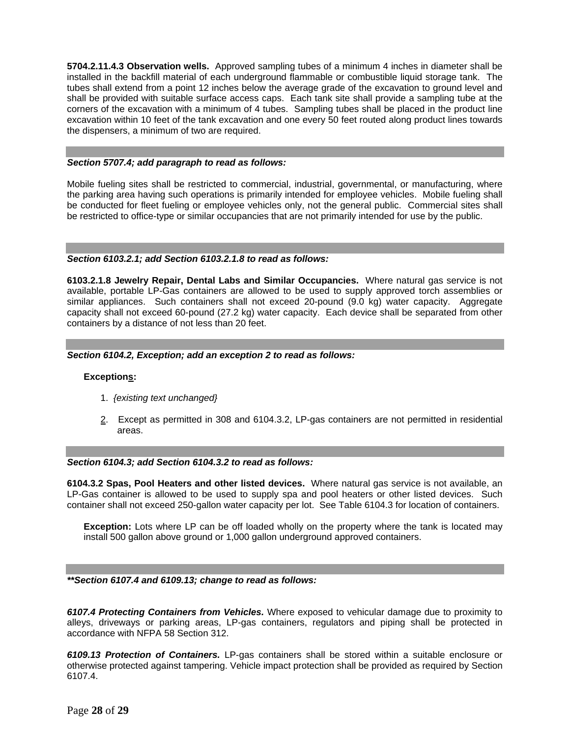**5704.2.11.4.3 Observation wells.** Approved sampling tubes of a minimum 4 inches in diameter shall be installed in the backfill material of each underground flammable or combustible liquid storage tank. The tubes shall extend from a point 12 inches below the average grade of the excavation to ground level and shall be provided with suitable surface access caps. Each tank site shall provide a sampling tube at the corners of the excavation with a minimum of 4 tubes. Sampling tubes shall be placed in the product line excavation within 10 feet of the tank excavation and one every 50 feet routed along product lines towards the dispensers, a minimum of two are required.

## *Section 5707.4; add paragraph to read as follows:*

Mobile fueling sites shall be restricted to commercial, industrial, governmental, or manufacturing, where the parking area having such operations is primarily intended for employee vehicles. Mobile fueling shall be conducted for fleet fueling or employee vehicles only, not the general public. Commercial sites shall be restricted to office-type or similar occupancies that are not primarily intended for use by the public.

#### *Section 6103.2.1; add Section 6103.2.1.8 to read as follows:*

**6103.2.1.8 Jewelry Repair, Dental Labs and Similar Occupancies.** Where natural gas service is not available, portable LP-Gas containers are allowed to be used to supply approved torch assemblies or similar appliances. Such containers shall not exceed 20-pound (9.0 kg) water capacity. Aggregate capacity shall not exceed 60-pound (27.2 kg) water capacity. Each device shall be separated from other containers by a distance of not less than 20 feet.

#### *Section 6104.2, Exception; add an exception 2 to read as follows:*

## **Exceptions:**

- 1. *{existing text unchanged}*
- 2. Except as permitted in 308 and 6104.3.2, LP-gas containers are not permitted in residential areas.

#### *Section 6104.3; add Section 6104.3.2 to read as follows:*

**6104.3.2 Spas, Pool Heaters and other listed devices.** Where natural gas service is not available, an LP-Gas container is allowed to be used to supply spa and pool heaters or other listed devices. Such container shall not exceed 250-gallon water capacity per lot. See Table 6104.3 for location of containers.

**Exception:** Lots where LP can be off loaded wholly on the property where the tank is located may install 500 gallon above ground or 1,000 gallon underground approved containers.

*\*\*Section 6107.4 and 6109.13; change to read as follows:* 

*6107.4 Protecting Containers from Vehicles.* Where exposed to vehicular damage due to proximity to alleys, driveways or parking areas, LP-gas containers, regulators and piping shall be protected in accordance with NFPA 58 Section 312.

*6109.13 Protection of Containers.* LP-gas containers shall be stored within a suitable enclosure or otherwise protected against tampering. Vehicle impact protection shall be provided as required by Section 6107.4.